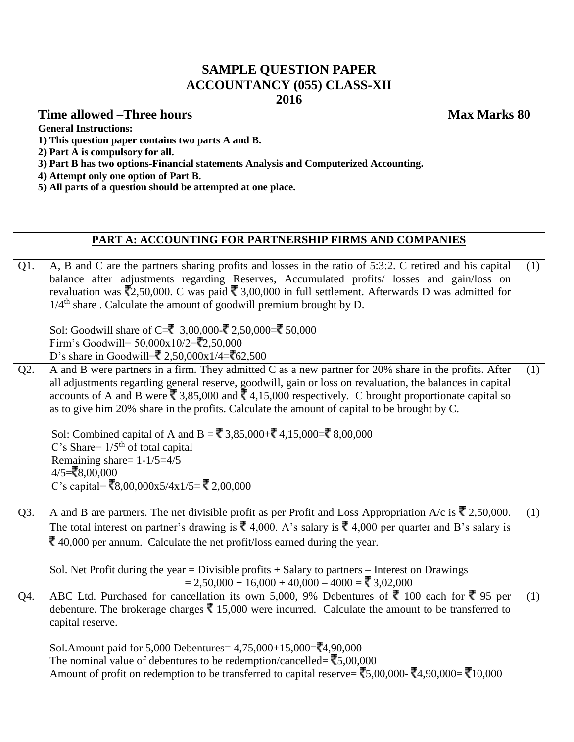# **SAMPLE QUESTION PAPER ACCOUNTANCY (055) CLASS-XII 2016**

# **Time allowed –Three hours** Max Marks 80

**General Instructions:**

**1) This question paper contains two parts A and B.**

**2) Part A is compulsory for all.**

- **3) Part B has two options-Financial statements Analysis and Computerized Accounting.**
- **4) Attempt only one option of Part B.**
- **5) All parts of a question should be attempted at one place.**

|     | PART A: ACCOUNTING FOR PARTNERSHIP FIRMS AND COMPANIES                                                                                                                                                                                                                                                                                                                                                                                                                                                                                                             |     |
|-----|--------------------------------------------------------------------------------------------------------------------------------------------------------------------------------------------------------------------------------------------------------------------------------------------------------------------------------------------------------------------------------------------------------------------------------------------------------------------------------------------------------------------------------------------------------------------|-----|
|     |                                                                                                                                                                                                                                                                                                                                                                                                                                                                                                                                                                    |     |
| Q1. | A, B and C are the partners sharing profits and losses in the ratio of 5:3:2. C retired and his capital<br>balance after adjustments regarding Reserves, Accumulated profits/ losses and gain/loss on<br>revaluation was $\overline{5}2,50,000$ . C was paid $\overline{5}3,00,000$ in full settlement. Afterwards D was admitted for<br>$1/4$ <sup>th</sup> share. Calculate the amount of goodwill premium brought by D.                                                                                                                                         | (1) |
|     | Sol: Goodwill share of C=₹ 3,00,000-₹ 2,50,000=₹ 50,000<br>Firm's Goodwill= $50,000x10/2 = 2,50,000$<br>D's share in Goodwill= $\sqrt{2,50,000x1/4}$ = $\sqrt{62,500}$                                                                                                                                                                                                                                                                                                                                                                                             |     |
| Q2. | A and B were partners in a firm. They admitted C as a new partner for 20% share in the profits. After<br>all adjustments regarding general reserve, goodwill, gain or loss on revaluation, the balances in capital<br>accounts of A and B were $\overline{\xi}$ 3,85,000 and $\overline{\xi}$ 4,15,000 respectively. C brought proportionate capital so<br>as to give him 20% share in the profits. Calculate the amount of capital to be brought by C.                                                                                                            | (1) |
|     | Sol: Combined capital of A and B = ₹ 3,85,000+₹ 4,15,000=₹ 8,00,000<br>C's Share= $1/5th$ of total capital<br>Remaining share= $1-1/5=4/5$<br>$4/5 = ₹8,00,000$<br>C's capital= $\overline{\mathbf{\bar{z}}}_{8,00,000x5/4x1/5}$ = $\overline{\mathbf{\bar{z}}}_{2,00,000}$                                                                                                                                                                                                                                                                                        |     |
| Q3. | A and B are partners. The net divisible profit as per Profit and Loss Appropriation A/c is $\bar{\zeta}$ 2,50,000.<br>The total interest on partner's drawing is $\bar{\mathbf{\zeta}}$ 4,000. A's salary is $\bar{\mathbf{\zeta}}$ 4,000 per quarter and B's salary is<br>$\bar{\mathbf{\mathcal{R}}}$ 40,000 per annum. Calculate the net profit/loss earned during the year.<br>Sol. Net Profit during the year = Divisible profits $+$ Salary to partners $-$ Interest on Drawings<br>$= 2,50,000 + 16,000 + 40,000 - 4000 =$ $\overline{\phantom{0}}3,02,000$ | (1) |
| Q4. | ABC Ltd. Purchased for cancellation its own 5,000, 9% Debentures of $\overline{\xi}$ 100 each for $\overline{\xi}$ 95 per<br>debenture. The brokerage charges $\bar{\mathcal{R}}$ 15,000 were incurred. Calculate the amount to be transferred to<br>capital reserve.                                                                                                                                                                                                                                                                                              | (1) |
|     | Sol.Amount paid for 5,000 Debentures = $4,75,000+15,000=$ $\overline{3}4,90,000$<br>The nominal value of debentures to be redemption/cancelled= $\overline{\textbf{z}}$ 5,00,000<br>Amount of profit on redemption to be transferred to capital reserve= $\overline{(}5,00,000 - \overline{}(4,90,000 - \overline{)}10,000)$                                                                                                                                                                                                                                       |     |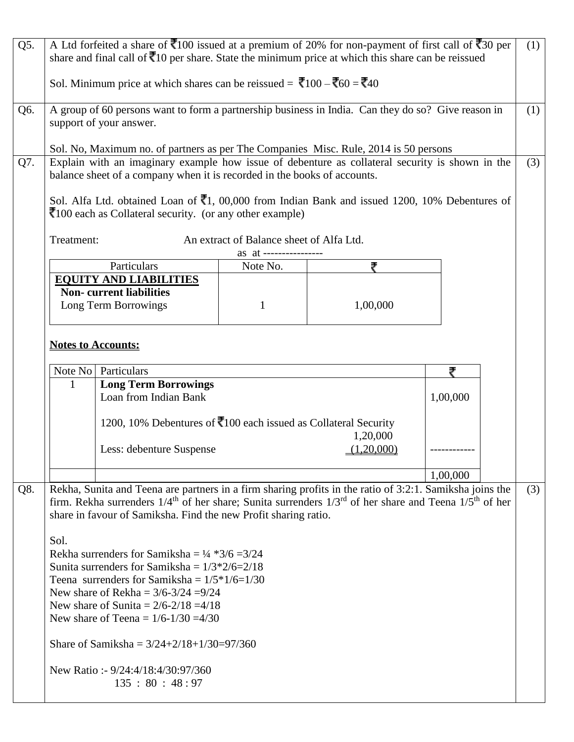| Q5. |                                      | A Ltd forfeited a share of $\overline{\mathbf{z}}$ 100 issued at a premium of 20% for non-payment of first call of $\overline{\mathbf{z}}$ 30 per<br>share and final call of $\bar{z}$ 10 per share. State the minimum price at which this share can be reissued<br>Sol. Minimum price at which shares can be reissued = $\bar{\mathbf{\zeta}}$ 100 – $\bar{\mathbf{\zeta}}$ 60 = $\bar{\mathbf{\zeta}}$ 40                                                                                                                                                                                                                                                                                    |                                                                 |                        |          | (1) |
|-----|--------------------------------------|------------------------------------------------------------------------------------------------------------------------------------------------------------------------------------------------------------------------------------------------------------------------------------------------------------------------------------------------------------------------------------------------------------------------------------------------------------------------------------------------------------------------------------------------------------------------------------------------------------------------------------------------------------------------------------------------|-----------------------------------------------------------------|------------------------|----------|-----|
| Q6. |                                      | A group of 60 persons want to form a partnership business in India. Can they do so? Give reason in<br>support of your answer.                                                                                                                                                                                                                                                                                                                                                                                                                                                                                                                                                                  |                                                                 |                        |          | (1) |
| Q7. | Treatment:                           | Sol. No, Maximum no. of partners as per The Companies Misc. Rule, 2014 is 50 persons<br>Explain with an imaginary example how issue of debenture as collateral security is shown in the<br>balance sheet of a company when it is recorded in the books of accounts.<br>Sol. Alfa Ltd. obtained Loan of $\bar{8}1$ , 00,000 from Indian Bank and issued 1200, 10% Debentures of<br>₹100 each as Collateral security. (or any other example)                                                                                                                                                                                                                                                     | An extract of Balance sheet of Alfa Ltd.<br>as at ------------- |                        |          | (3) |
|     |                                      | Particulars                                                                                                                                                                                                                                                                                                                                                                                                                                                                                                                                                                                                                                                                                    | Note No.                                                        | ₹                      |          |     |
|     |                                      | <b>EQUITY AND LIABILITIES</b><br><b>Non-</b> current liabilities<br>Long Term Borrowings                                                                                                                                                                                                                                                                                                                                                                                                                                                                                                                                                                                                       | 1                                                               | 1,00,000               |          |     |
|     | <b>Notes to Accounts:</b><br>Note No | Particulars                                                                                                                                                                                                                                                                                                                                                                                                                                                                                                                                                                                                                                                                                    |                                                                 |                        | ₹        |     |
|     | 1                                    |                                                                                                                                                                                                                                                                                                                                                                                                                                                                                                                                                                                                                                                                                                |                                                                 |                        |          |     |
|     |                                      | <b>Long Term Borrowings</b><br>Loan from Indian Bank                                                                                                                                                                                                                                                                                                                                                                                                                                                                                                                                                                                                                                           |                                                                 |                        | 1,00,000 |     |
|     |                                      | 1200, 10% Debentures of $\bar{x}$ 100 each issued as Collateral Security<br>Less: debenture Suspense                                                                                                                                                                                                                                                                                                                                                                                                                                                                                                                                                                                           |                                                                 | 1,20,000<br>(1,20,000) |          |     |
|     |                                      |                                                                                                                                                                                                                                                                                                                                                                                                                                                                                                                                                                                                                                                                                                |                                                                 |                        |          |     |
|     |                                      |                                                                                                                                                                                                                                                                                                                                                                                                                                                                                                                                                                                                                                                                                                |                                                                 |                        | 1,00,000 |     |
| Q8. | Sol.                                 | Rekha, Sunita and Teena are partners in a firm sharing profits in the ratio of 3:2:1. Samiksha joins the<br>firm. Rekha surrenders $1/4$ <sup>th</sup> of her share; Sunita surrenders $1/3$ <sup>rd</sup> of her share and Teena $1/5$ <sup>th</sup> of her<br>share in favour of Samiksha. Find the new Profit sharing ratio.<br>Rekha surrenders for Samiksha = $\frac{1}{4}$ *3/6 = 3/24<br>Sunita surrenders for Samiksha = $1/3 \times 2/6 = 2/18$<br>Teena surrenders for Samiksha = $1/5*1/6=1/30$<br>New share of Rekha = $3/6 - 3/24 = 9/24$<br>New share of Sunita = $2/6 - 2/18 = 4/18$<br>New share of Teena = $1/6 - 1/30 = 4/30$<br>Share of Samiksha = $3/24+2/18+1/30=97/360$ |                                                                 |                        |          | (3) |
|     |                                      | New Ratio: - 9/24:4/18:4/30:97/360<br>135 : 80 : 48 : 97                                                                                                                                                                                                                                                                                                                                                                                                                                                                                                                                                                                                                                       |                                                                 |                        |          |     |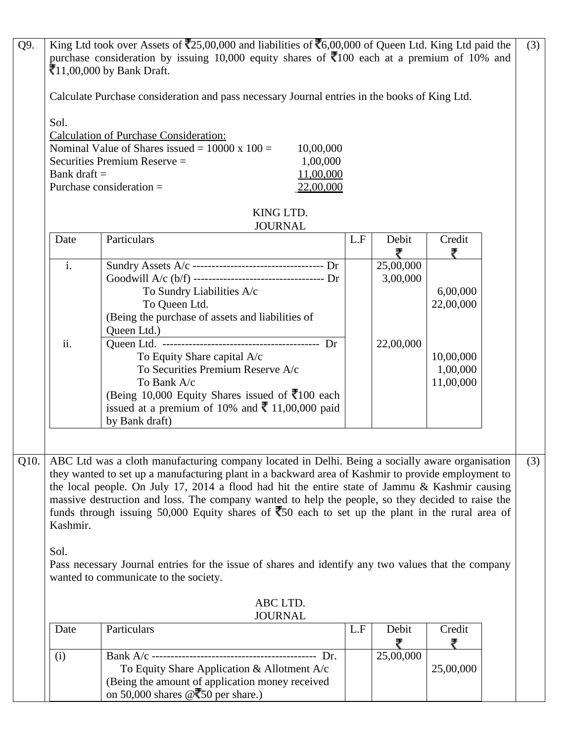| Q9.  |                                                                    | King Ltd took over Assets of $\overline{2}25,00,000$ and liabilities of $\overline{6}6,00,000$ of Queen Ltd. King Ltd paid the                                                                       |     |           |           |  | (3) |  |  |  |
|------|--------------------------------------------------------------------|------------------------------------------------------------------------------------------------------------------------------------------------------------------------------------------------------|-----|-----------|-----------|--|-----|--|--|--|
|      |                                                                    | purchase consideration by issuing 10,000 equity shares of $\overline{\mathbf{z}}$ 100 each at a premium of 10% and                                                                                   |     |           |           |  |     |  |  |  |
|      |                                                                    | ₹11,00,000 by Bank Draft.                                                                                                                                                                            |     |           |           |  |     |  |  |  |
|      |                                                                    | Calculate Purchase consideration and pass necessary Journal entries in the books of King Ltd.                                                                                                        |     |           |           |  |     |  |  |  |
|      | Sol.                                                               |                                                                                                                                                                                                      |     |           |           |  |     |  |  |  |
|      | <b>Calculation of Purchase Consideration:</b>                      |                                                                                                                                                                                                      |     |           |           |  |     |  |  |  |
|      | Nominal Value of Shares issued = $10000 \times 100 =$<br>10,00,000 |                                                                                                                                                                                                      |     |           |           |  |     |  |  |  |
|      |                                                                    | Securities Premium Reserve =<br>1,00,000                                                                                                                                                             |     |           |           |  |     |  |  |  |
|      | Bank draft $=$                                                     | 11,00,000                                                                                                                                                                                            |     |           |           |  |     |  |  |  |
|      |                                                                    | Purchase consideration $=$<br>22,00,000                                                                                                                                                              |     |           |           |  |     |  |  |  |
|      | KING LTD.                                                          |                                                                                                                                                                                                      |     |           |           |  |     |  |  |  |
|      | Date                                                               | <b>JOURNAL</b><br>Particulars                                                                                                                                                                        | L.F | Debit     | Credit    |  |     |  |  |  |
|      |                                                                    |                                                                                                                                                                                                      |     | ₹         |           |  |     |  |  |  |
|      | $\mathbf{i}$ .                                                     |                                                                                                                                                                                                      |     | 25,00,000 |           |  |     |  |  |  |
|      |                                                                    |                                                                                                                                                                                                      |     | 3,00,000  |           |  |     |  |  |  |
|      |                                                                    | To Sundry Liabilities A/c                                                                                                                                                                            |     |           | 6,00,000  |  |     |  |  |  |
|      |                                                                    | To Queen Ltd.<br>(Being the purchase of assets and liabilities of                                                                                                                                    |     |           | 22,00,000 |  |     |  |  |  |
|      |                                                                    | Queen Ltd.)                                                                                                                                                                                          |     |           |           |  |     |  |  |  |
|      | ii.                                                                |                                                                                                                                                                                                      |     | 22,00,000 |           |  |     |  |  |  |
|      |                                                                    | To Equity Share capital A/c                                                                                                                                                                          |     |           | 10,00,000 |  |     |  |  |  |
|      |                                                                    | To Securities Premium Reserve A/c                                                                                                                                                                    |     |           | 1,00,000  |  |     |  |  |  |
|      |                                                                    | To Bank A/c<br>(Being 10,000 Equity Shares issued of ₹100 each                                                                                                                                       |     |           | 11,00,000 |  |     |  |  |  |
|      |                                                                    | issued at a premium of 10% and $\bar{\phantom{1}}$ 11,00,000 paid                                                                                                                                    |     |           |           |  |     |  |  |  |
|      |                                                                    | by Bank draft)                                                                                                                                                                                       |     |           |           |  |     |  |  |  |
|      |                                                                    |                                                                                                                                                                                                      |     |           |           |  |     |  |  |  |
|      |                                                                    |                                                                                                                                                                                                      |     |           |           |  |     |  |  |  |
| Q10. |                                                                    | ABC Ltd was a cloth manufacturing company located in Delhi. Being a socially aware organisation                                                                                                      |     |           |           |  | (3) |  |  |  |
|      |                                                                    | they wanted to set up a manufacturing plant in a backward area of Kashmir to provide employment to<br>the local people. On July 17, 2014 a flood had hit the entire state of Jammu & Kashmir causing |     |           |           |  |     |  |  |  |
|      |                                                                    | massive destruction and loss. The company wanted to help the people, so they decided to raise the                                                                                                    |     |           |           |  |     |  |  |  |
|      |                                                                    | funds through issuing 50,000 Equity shares of $\overline{50}$ each to set up the plant in the rural area of                                                                                          |     |           |           |  |     |  |  |  |
|      | Kashmir.                                                           |                                                                                                                                                                                                      |     |           |           |  |     |  |  |  |
|      |                                                                    |                                                                                                                                                                                                      |     |           |           |  |     |  |  |  |
|      | Sol.                                                               | Pass necessary Journal entries for the issue of shares and identify any two values that the company                                                                                                  |     |           |           |  |     |  |  |  |
|      |                                                                    | wanted to communicate to the society.                                                                                                                                                                |     |           |           |  |     |  |  |  |
|      |                                                                    | ABC LTD.                                                                                                                                                                                             |     |           |           |  |     |  |  |  |
|      |                                                                    | <b>JOURNAL</b>                                                                                                                                                                                       |     |           |           |  |     |  |  |  |
|      | Date                                                               | Particulars                                                                                                                                                                                          | L.F | Debit     | Credit    |  |     |  |  |  |
|      | (i)                                                                | ---- Dr.                                                                                                                                                                                             |     | 25,00,000 |           |  |     |  |  |  |
|      |                                                                    | To Equity Share Application & Allotment A/c                                                                                                                                                          |     |           | 25,00,000 |  |     |  |  |  |
|      |                                                                    | (Being the amount of application money received                                                                                                                                                      |     |           |           |  |     |  |  |  |
|      |                                                                    | on 50,000 shares $@350$ per share.)                                                                                                                                                                  |     |           |           |  |     |  |  |  |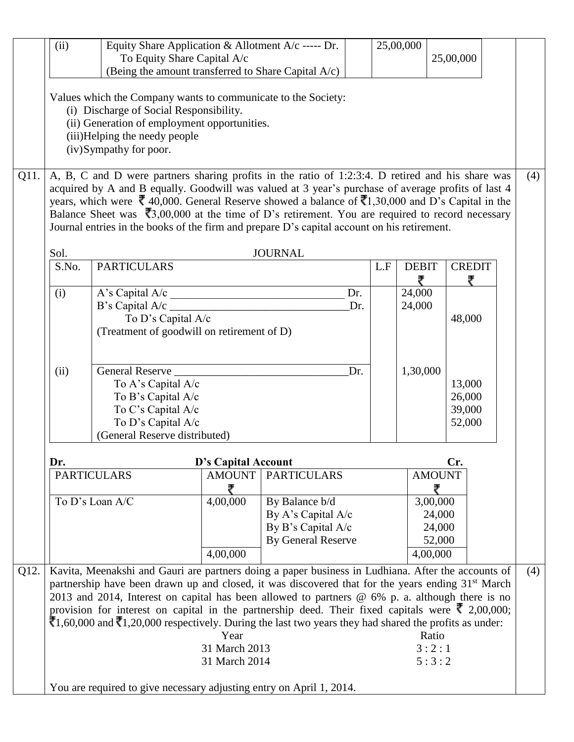|      | (ii)                                                                                                                                                                                                                                                                                                                    | Equity Share Application & Allotment A/c ----- Dr.<br>To Equity Share Capital A/c<br>(Being the amount transferred to Share Capital A/c)                                                                                                                                                                                                                                                                                                                                     |                                                                                                                                                                                                                                                                                                                                                                                                                                                                                                                                                                                        |                                                                                         |            | 25,00,000         | 25,00,000                                               |     |  |
|------|-------------------------------------------------------------------------------------------------------------------------------------------------------------------------------------------------------------------------------------------------------------------------------------------------------------------------|------------------------------------------------------------------------------------------------------------------------------------------------------------------------------------------------------------------------------------------------------------------------------------------------------------------------------------------------------------------------------------------------------------------------------------------------------------------------------|----------------------------------------------------------------------------------------------------------------------------------------------------------------------------------------------------------------------------------------------------------------------------------------------------------------------------------------------------------------------------------------------------------------------------------------------------------------------------------------------------------------------------------------------------------------------------------------|-----------------------------------------------------------------------------------------|------------|-------------------|---------------------------------------------------------|-----|--|
|      | Values which the Company wants to communicate to the Society:<br>(i) Discharge of Social Responsibility.<br>(ii) Generation of employment opportunities.<br>(iii)Helping the needy people<br>(iv)Sympathy for poor.<br>A, B, C and D were partners sharing profits in the ratio of 1:2:3:4. D retired and his share was |                                                                                                                                                                                                                                                                                                                                                                                                                                                                              |                                                                                                                                                                                                                                                                                                                                                                                                                                                                                                                                                                                        |                                                                                         |            |                   |                                                         |     |  |
| Q11. |                                                                                                                                                                                                                                                                                                                         | acquired by A and B equally. Goodwill was valued at 3 year's purchase of average profits of last 4<br>years, which were $\bar{\mathbf{\mathcal{R}}}$ 40,000. General Reserve showed a balance of $\bar{\mathbf{\mathcal{R}}}$ 1,30,000 and D's Capital in the<br>Balance Sheet was $\overline{3}3,00,000$ at the time of D's retirement. You are required to record necessary<br>Journal entries in the books of the firm and prepare D's capital account on his retirement. |                                                                                                                                                                                                                                                                                                                                                                                                                                                                                                                                                                                        |                                                                                         |            |                   |                                                         | (4) |  |
|      | Sol.                                                                                                                                                                                                                                                                                                                    |                                                                                                                                                                                                                                                                                                                                                                                                                                                                              |                                                                                                                                                                                                                                                                                                                                                                                                                                                                                                                                                                                        | <b>JOURNAL</b>                                                                          |            |                   |                                                         |     |  |
|      | S.No.                                                                                                                                                                                                                                                                                                                   | <b>PARTICULARS</b>                                                                                                                                                                                                                                                                                                                                                                                                                                                           |                                                                                                                                                                                                                                                                                                                                                                                                                                                                                                                                                                                        |                                                                                         | L.F        | <b>DEBIT</b><br>₹ | <b>CREDIT</b>                                           |     |  |
|      | (i)                                                                                                                                                                                                                                                                                                                     | $\overline{A}$ 's Capital $\overline{A}/c$<br>To D's Capital A/c<br>(Treatment of goodwill on retirement of D)                                                                                                                                                                                                                                                                                                                                                               |                                                                                                                                                                                                                                                                                                                                                                                                                                                                                                                                                                                        |                                                                                         | Dr.<br>Dr. | 24,000<br>24,000  | 48,000                                                  |     |  |
|      | (ii)                                                                                                                                                                                                                                                                                                                    | General Reserve<br>To A's Capital A/c<br>To B's Capital A/c<br>To C's Capital A/c<br>To D's Capital A/c<br>(General Reserve distributed)                                                                                                                                                                                                                                                                                                                                     | Dr.                                                                                                                                                                                                                                                                                                                                                                                                                                                                                                                                                                                    |                                                                                         |            | 1,30,000          | 13,000<br>26,000<br>39,000<br>52,000                    |     |  |
|      | Dr.                                                                                                                                                                                                                                                                                                                     |                                                                                                                                                                                                                                                                                                                                                                                                                                                                              | D's Capital Account                                                                                                                                                                                                                                                                                                                                                                                                                                                                                                                                                                    |                                                                                         |            |                   | Cr.                                                     |     |  |
|      |                                                                                                                                                                                                                                                                                                                         | <b>PARTICULARS</b>                                                                                                                                                                                                                                                                                                                                                                                                                                                           | <b>AMOUNT</b>                                                                                                                                                                                                                                                                                                                                                                                                                                                                                                                                                                          | <b>PARTICULARS</b>                                                                      |            |                   | <b>AMOUNT</b>                                           |     |  |
|      |                                                                                                                                                                                                                                                                                                                         | To D's Loan A/C                                                                                                                                                                                                                                                                                                                                                                                                                                                              | 4,00,000<br>4,00,000                                                                                                                                                                                                                                                                                                                                                                                                                                                                                                                                                                   | By Balance b/d<br>By A's Capital A/c<br>By B's Capital A/c<br><b>By General Reserve</b> |            |                   | ₹<br>3,00,000<br>24,000<br>24,000<br>52,000<br>4,00,000 |     |  |
| Q12. |                                                                                                                                                                                                                                                                                                                         |                                                                                                                                                                                                                                                                                                                                                                                                                                                                              | Kavita, Meenakshi and Gauri are partners doing a paper business in Ludhiana. After the accounts of<br>partnership have been drawn up and closed, it was discovered that for the years ending 31 <sup>st</sup> March<br>2013 and 2014, Interest on capital has been allowed to partners @ 6% p. a. although there is no<br>provision for interest on capital in the partnership deed. Their fixed capitals were $\bar{\phantom{1}}$ 2,00,000;<br>$\bar{5}1,60,000$ and $\bar{5}1,20,000$ respectively. During the last two years they had shared the profits as under:<br>Year<br>Ratio |                                                                                         |            |                   |                                                         | (4) |  |
|      |                                                                                                                                                                                                                                                                                                                         | You are required to give necessary adjusting entry on April 1, 2014.                                                                                                                                                                                                                                                                                                                                                                                                         | 31 March 2013<br>31 March 2014                                                                                                                                                                                                                                                                                                                                                                                                                                                                                                                                                         |                                                                                         |            |                   | 3:2:1<br>5:3:2                                          |     |  |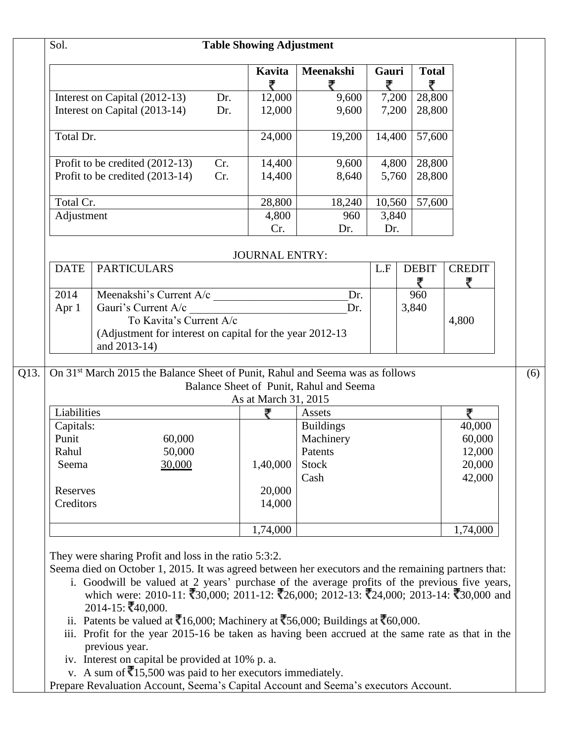| 9,600                                                     |                  | <b>Total</b>                                   |                                                                                                                                       |
|-----------------------------------------------------------|------------------|------------------------------------------------|---------------------------------------------------------------------------------------------------------------------------------------|
|                                                           | ₹                | ₹<br>$\overline{28,800}$                       |                                                                                                                                       |
| 9,600                                                     | 7,200<br>7,200   | 28,800                                         |                                                                                                                                       |
|                                                           |                  |                                                |                                                                                                                                       |
| 19,200                                                    | 14,400           | 57,600                                         |                                                                                                                                       |
| 9,600                                                     | 4,800            | 28,800                                         |                                                                                                                                       |
| 8,640                                                     | 5,760            | 28,800                                         |                                                                                                                                       |
| 18,240                                                    |                  | 57,600                                         |                                                                                                                                       |
| 960                                                       |                  |                                                |                                                                                                                                       |
|                                                           |                  |                                                |                                                                                                                                       |
| <b>JOURNAL ENTRY:</b>                                     |                  |                                                |                                                                                                                                       |
|                                                           | L.F              |                                                | <b>CREDIT</b><br>₹                                                                                                                    |
| Dr.                                                       |                  | 960                                            |                                                                                                                                       |
| Dr.                                                       |                  |                                                |                                                                                                                                       |
|                                                           |                  |                                                | 4,800                                                                                                                                 |
| (Adjustment for interest on capital for the year 2012-13) |                  |                                                |                                                                                                                                       |
| As at March 31, 2015                                      |                  |                                                |                                                                                                                                       |
| Assets                                                    |                  |                                                | ₹                                                                                                                                     |
| <b>Buildings</b>                                          |                  |                                                | 40,000                                                                                                                                |
|                                                           |                  |                                                | 60,000                                                                                                                                |
| Patents                                                   |                  |                                                | 12,000                                                                                                                                |
| <b>Stock</b>                                              |                  |                                                | 20,000                                                                                                                                |
|                                                           |                  |                                                |                                                                                                                                       |
| Cash                                                      |                  |                                                | 42,000                                                                                                                                |
|                                                           |                  |                                                |                                                                                                                                       |
|                                                           |                  |                                                |                                                                                                                                       |
|                                                           | Dr.<br>Machinery | Dr.<br>Balance Sheet of Punit, Rahul and Seema | 10,560<br>3,840<br><b>DEBIT</b><br>3,840<br>On 31 <sup>st</sup> March 2015 the Balance Sheet of Punit, Rahul and Seema was as follows |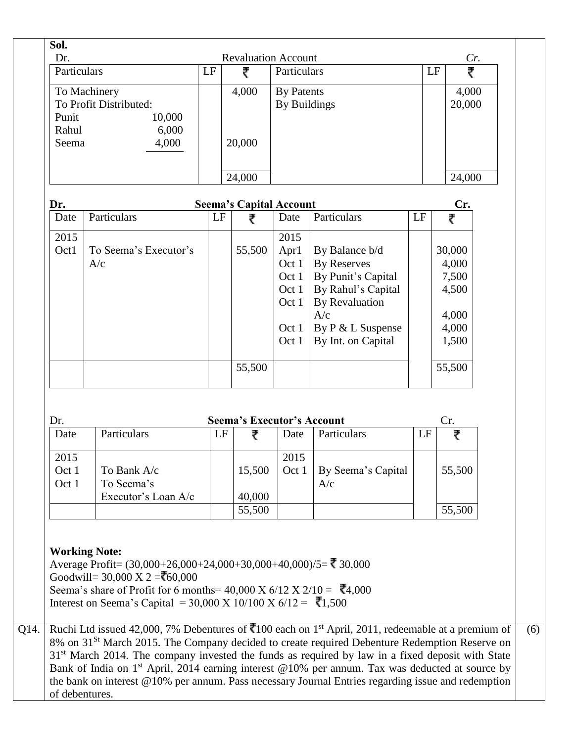| Sol.        |                        |    |                                |                     |                       |    |         |     |
|-------------|------------------------|----|--------------------------------|---------------------|-----------------------|----|---------|-----|
| Dr.         |                        |    | <b>Revaluation Account</b>     |                     |                       |    |         | Cr. |
| Particulars |                        | LF | ₹                              | Particulars         |                       |    | LF<br>₹ |     |
|             | To Machinery           |    | 4,000                          | <b>By Patents</b>   |                       |    | 4,000   |     |
|             | To Profit Distributed: |    |                                | <b>By Buildings</b> |                       |    | 20,000  |     |
| Punit       | 10,000                 |    |                                |                     |                       |    |         |     |
| Rahul       | 6,000                  |    |                                |                     |                       |    |         |     |
| Seema       | 4,000                  |    | 20,000                         |                     |                       |    |         |     |
|             |                        |    |                                |                     |                       |    |         |     |
|             |                        |    |                                |                     |                       |    |         |     |
|             |                        |    | 24,000                         |                     |                       |    | 24,000  |     |
|             |                        |    |                                |                     |                       |    |         |     |
| Dr.         |                        |    | <b>Seema's Capital Account</b> |                     |                       |    | Cr.     |     |
| Date        | Particulars            | LF | ₹                              | Date                | Particulars           | LF | ₹       |     |
| 2015        |                        |    |                                | 2015                |                       |    |         |     |
| Oct1        | To Seema's Executor's  |    | 55,500                         | Apr1                | By Balance b/d        |    | 30,000  |     |
|             | A/c                    |    |                                | Oct 1               | <b>By Reserves</b>    |    | 4,000   |     |
|             |                        |    |                                | Oct 1               | By Punit's Capital    |    | 7,500   |     |
|             |                        |    |                                | Oct $1$             | By Rahul's Capital    |    | 4,500   |     |
|             |                        |    |                                | Oct 1               | <b>By Revaluation</b> |    |         |     |
|             |                        |    |                                |                     | A/c                   |    | 4,000   |     |
|             |                        |    |                                | Oct 1               | By P & L Suspense     |    | 4,000   |     |
|             |                        |    |                                | Oct 1               | By Int. on Capital    |    | 1,500   |     |
|             |                        |    |                                |                     |                       |    |         |     |
|             |                        |    | 55,500                         |                     |                       |    | 55,500  |     |
|             |                        |    |                                |                     |                       |    |         |     |

| Dr.   | <b>Seema's Executor's Account</b> |    |        |       |                    |    | Cr.    |
|-------|-----------------------------------|----|--------|-------|--------------------|----|--------|
| Date  | Particulars                       | LF |        | Date  | Particulars        | LF | ₹      |
| 2015  |                                   |    |        | 2015  |                    |    |        |
| Oct 1 | To Bank A/c                       |    | 15,500 | Oct 1 | By Seema's Capital |    | 55,500 |
| Oct 1 | To Seema's                        |    |        |       | A/c                |    |        |
|       | Executor's Loan A/c               |    | 40,000 |       |                    |    |        |
|       |                                   |    | 55,500 |       |                    |    | 55,500 |

Average Profit=  $(30,000+26,000+24,000+30,000+40,000)/5 =$  30,000 Goodwill=  $30,000 \text{ X } 2 = 60,000$ Seema's share of Profit for 6 months=  $40,000 \text{ X } 6/12 \text{ X } 2/10 = \overline{3}4,000$ Interest on Seema's Capital = 30,000 X 10/100 X 6/12 = ₹1,500

Q14. Ruchi Ltd issued 42,000, 7% Debentures of  $\overline{5}100$  each on 1<sup>st</sup> April, 2011, redeemable at a premium of 8% on 31<sup>St</sup> March 2015. The Company decided to create required Debenture Redemption Reserve on 31<sup>st</sup> March 2014. The company invested the funds as required by law in a fixed deposit with State Bank of India on 1<sup>st</sup> April, 2014 earning interest @10% per annum. Tax was deducted at source by the bank on interest @10% per annum. Pass necessary Journal Entries regarding issue and redemption of debentures. (6)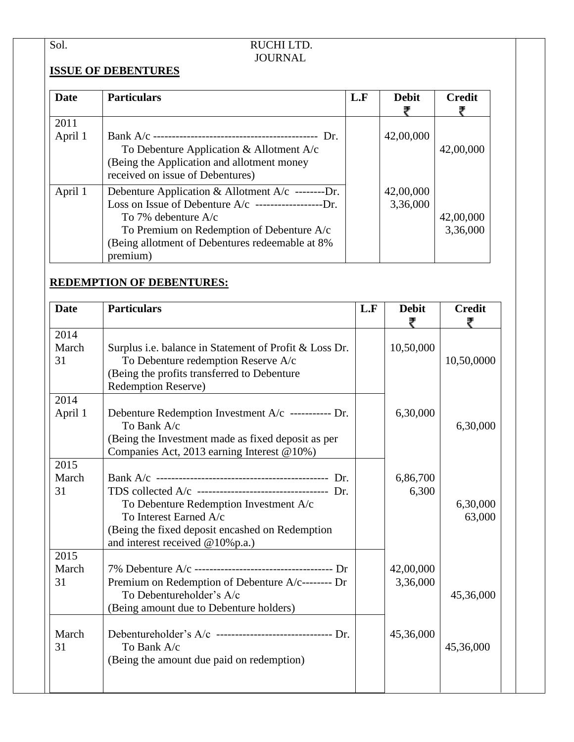## Sol. RUCHI LTD. JOURNAL

# **ISSUE OF DEBENTURES**

| Date    | <b>Particulars</b>                                  | L.F | <b>Debit</b> | <b>Credit</b> |
|---------|-----------------------------------------------------|-----|--------------|---------------|
|         |                                                     |     |              |               |
| 2011    |                                                     |     |              |               |
| April 1 |                                                     |     | 42,00,000    |               |
|         | To Debenture Application & Allotment $A/c$          |     |              | 42,00,000     |
|         | (Being the Application and allotment money          |     |              |               |
|         | received on issue of Debentures)                    |     |              |               |
| April 1 | Debenture Application & Allotment $A/c$ --------Dr. |     | 42,00,000    |               |
|         |                                                     |     | 3,36,000     |               |
|         | To 7% debenture $A/c$                               |     |              | 42,00,000     |
|         | To Premium on Redemption of Debenture A/c           |     |              | 3,36,000      |
|         | (Being allotment of Debentures redeemable at 8%)    |     |              |               |
|         | premium)                                            |     |              |               |

# **REDEMPTION OF DEBENTURES:**

| <b>Date</b>   | <b>Particulars</b>                                                        | L.F | <b>Debit</b> | <b>Credit</b> |
|---------------|---------------------------------------------------------------------------|-----|--------------|---------------|
| 2014          |                                                                           |     |              |               |
| March         | Surplus <i>i.e.</i> balance in Statement of Profit & Loss Dr.             |     | 10,50,000    |               |
| 31            | To Debenture redemption Reserve A/c                                       |     |              | 10,50,0000    |
|               | (Being the profits transferred to Debenture<br><b>Redemption Reserve)</b> |     |              |               |
| 2014          |                                                                           |     |              |               |
| April 1       | Debenture Redemption Investment A/c ----------- Dr.                       |     | 6,30,000     |               |
|               | To Bank A/c                                                               |     |              | 6,30,000      |
|               | (Being the Investment made as fixed deposit as per                        |     |              |               |
|               | Companies Act, 2013 earning Interest @10%)                                |     |              |               |
| 2015<br>March |                                                                           |     | 6,86,700     |               |
| 31            | TDS collected $A/c$ ----------------------------------- Dr.               |     | 6,300        |               |
|               | To Debenture Redemption Investment A/c                                    |     |              | 6,30,000      |
|               | To Interest Earned A/c                                                    |     |              | 63,000        |
|               | (Being the fixed deposit encashed on Redemption                           |     |              |               |
|               | and interest received @10%p.a.)                                           |     |              |               |
| 2015<br>March |                                                                           |     | 42,00,000    |               |
| 31            | Premium on Redemption of Debenture A/c-------- Dr                         |     | 3,36,000     |               |
|               | To Debentureholder's A/c                                                  |     |              | 45,36,000     |
|               | (Being amount due to Debenture holders)                                   |     |              |               |
|               |                                                                           |     |              |               |
| March         | Debentureholder's A/c -------------------------------- Dr.                |     | 45,36,000    |               |
| 31            | To Bank A/c                                                               |     |              | 45,36,000     |
|               | (Being the amount due paid on redemption)                                 |     |              |               |
|               |                                                                           |     |              |               |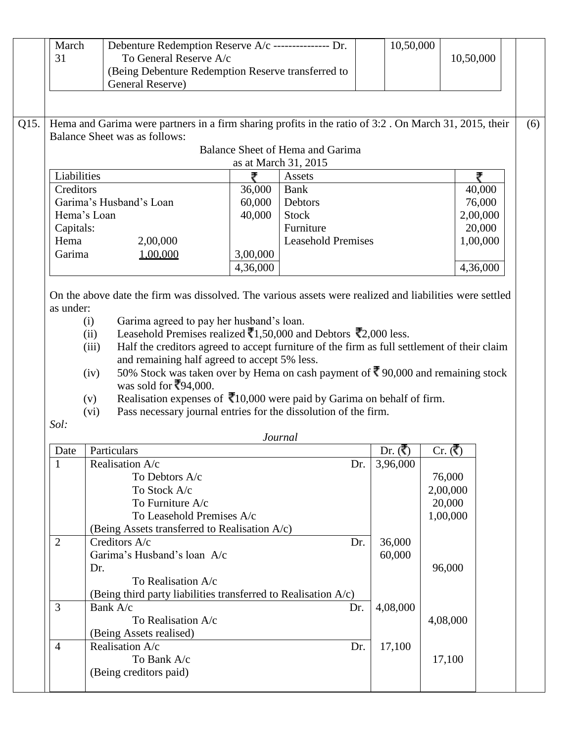|      | March<br>31                                                                             | Debenture Redemption Reserve A/c --------------- Dr.<br>To General Reserve A/c<br>(Being Debenture Redemption Reserve transferred to          |          |                                        | 10,50,000  | 10,50,000                    |                    |  |
|------|-----------------------------------------------------------------------------------------|-----------------------------------------------------------------------------------------------------------------------------------------------|----------|----------------------------------------|------------|------------------------------|--------------------|--|
|      |                                                                                         | General Reserve)                                                                                                                              |          |                                        |            |                              |                    |  |
| Q15. |                                                                                         | Hema and Garima were partners in a firm sharing profits in the ratio of 3:2. On March 31, 2015, their<br><b>Balance Sheet was as follows:</b> |          |                                        |            |                              | (6)                |  |
|      |                                                                                         |                                                                                                                                               |          | Balance Sheet of Hema and Garima       |            |                              |                    |  |
|      |                                                                                         |                                                                                                                                               |          | as at March 31, 2015                   |            |                              |                    |  |
|      | Liabilities                                                                             |                                                                                                                                               | ₹        | Assets                                 |            |                              | ₹                  |  |
|      | Creditors                                                                               |                                                                                                                                               | 36,000   | <b>Bank</b>                            |            |                              | 40,000             |  |
|      |                                                                                         | Garima's Husband's Loan                                                                                                                       | 60,000   | Debtors                                |            |                              | 76,000             |  |
|      |                                                                                         | Hema's Loan                                                                                                                                   | 40,000   | <b>Stock</b>                           |            |                              | 2,00,000           |  |
|      | Capitals:<br>Hema                                                                       |                                                                                                                                               |          | Furniture<br><b>Leasehold Premises</b> |            |                              | 20,000<br>1,00,000 |  |
|      | Garima                                                                                  | 2,00,000<br>1,00,000                                                                                                                          | 3,00,000 |                                        |            |                              |                    |  |
|      |                                                                                         |                                                                                                                                               | 4,36,000 |                                        |            |                              | 4,36,000           |  |
|      |                                                                                         |                                                                                                                                               |          |                                        |            |                              |                    |  |
|      | as under:                                                                               | On the above date the firm was dissolved. The various assets were realized and liabilities were settled                                       |          |                                        |            |                              |                    |  |
|      |                                                                                         | Garima agreed to pay her husband's loan.<br>(i)                                                                                               |          |                                        |            |                              |                    |  |
|      |                                                                                         | Leasehold Premises realized $\bar{(-}, 50,000)$ and Debtors $\bar{(-}, 2,000)$ less.<br>(ii)                                                  |          |                                        |            |                              |                    |  |
|      |                                                                                         | Half the creditors agreed to accept furniture of the firm as full settlement of their claim<br>(iii)                                          |          |                                        |            |                              |                    |  |
|      |                                                                                         | and remaining half agreed to accept 5% less.                                                                                                  |          |                                        |            |                              |                    |  |
|      | 50% Stock was taken over by Hema on cash payment of ₹90,000 and remaining stock<br>(iv) |                                                                                                                                               |          |                                        |            |                              |                    |  |
|      |                                                                                         |                                                                                                                                               |          |                                        |            |                              |                    |  |
|      |                                                                                         | was sold for $\sqrt[3]{94,000}$ .                                                                                                             |          |                                        |            |                              |                    |  |
|      |                                                                                         | Realisation expenses of $\bar{x}$ 10,000 were paid by Garima on behalf of firm.<br>(v)                                                        |          |                                        |            |                              |                    |  |
|      |                                                                                         | Pass necessary journal entries for the dissolution of the firm.<br>(vi)                                                                       |          |                                        |            |                              |                    |  |
|      | Sol:                                                                                    |                                                                                                                                               |          |                                        |            |                              |                    |  |
|      |                                                                                         |                                                                                                                                               |          | Journal                                |            |                              |                    |  |
|      | Date                                                                                    | Particulars                                                                                                                                   |          |                                        | Dr. $($ ₹) | Cr. $(\vec{\mathbf{\zeta}})$ |                    |  |
|      | $\mathbf{1}$                                                                            | Realisation A/c                                                                                                                               |          | Dr.                                    | 3,96,000   |                              |                    |  |
|      |                                                                                         | To Debtors A/c                                                                                                                                |          |                                        |            | 76,000                       |                    |  |
|      |                                                                                         | To Stock A/c                                                                                                                                  |          |                                        |            | 2,00,000                     |                    |  |
|      |                                                                                         | To Furniture A/c                                                                                                                              |          |                                        |            | 20,000                       |                    |  |
|      |                                                                                         | To Leasehold Premises A/c                                                                                                                     |          |                                        |            | 1,00,000                     |                    |  |
|      |                                                                                         | (Being Assets transferred to Realisation A/c)                                                                                                 |          |                                        |            |                              |                    |  |
|      | $\overline{2}$                                                                          | Creditors A/c                                                                                                                                 |          | Dr.                                    | 36,000     |                              |                    |  |
|      |                                                                                         | Garima's Husband's loan A/c                                                                                                                   |          |                                        | 60,000     |                              |                    |  |
|      |                                                                                         | Dr.                                                                                                                                           |          |                                        |            | 96,000                       |                    |  |
|      |                                                                                         | To Realisation A/c                                                                                                                            |          |                                        |            |                              |                    |  |
|      |                                                                                         | (Being third party liabilities transferred to Realisation $A/c$ )                                                                             |          |                                        |            |                              |                    |  |
|      | 3                                                                                       | Bank A/c                                                                                                                                      |          | Dr.                                    | 4,08,000   |                              |                    |  |
|      |                                                                                         | To Realisation A/c                                                                                                                            |          |                                        |            | 4,08,000                     |                    |  |
|      |                                                                                         | (Being Assets realised)                                                                                                                       |          |                                        |            |                              |                    |  |
|      | $\overline{4}$                                                                          | Realisation A/c                                                                                                                               |          | Dr.                                    | 17,100     |                              |                    |  |
|      |                                                                                         | To Bank A/c<br>(Being creditors paid)                                                                                                         |          |                                        |            | 17,100                       |                    |  |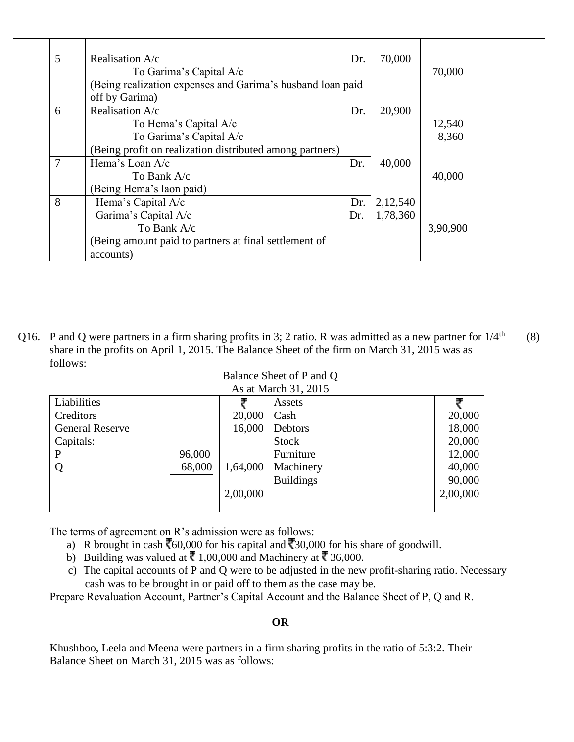|                                                                                                                                                                                                                                                                                                                                                                                                                                                                                                                                                                                                                      | 5                                          | Realisation A/c                                                                                                                                   |          |                          | Dr. | 70,000 |          |     |
|----------------------------------------------------------------------------------------------------------------------------------------------------------------------------------------------------------------------------------------------------------------------------------------------------------------------------------------------------------------------------------------------------------------------------------------------------------------------------------------------------------------------------------------------------------------------------------------------------------------------|--------------------------------------------|---------------------------------------------------------------------------------------------------------------------------------------------------|----------|--------------------------|-----|--------|----------|-----|
|                                                                                                                                                                                                                                                                                                                                                                                                                                                                                                                                                                                                                      |                                            | To Garima's Capital A/c                                                                                                                           |          |                          |     |        | 70,000   |     |
|                                                                                                                                                                                                                                                                                                                                                                                                                                                                                                                                                                                                                      |                                            | (Being realization expenses and Garima's husband loan paid                                                                                        |          |                          |     |        |          |     |
|                                                                                                                                                                                                                                                                                                                                                                                                                                                                                                                                                                                                                      |                                            | off by Garima)                                                                                                                                    |          |                          |     |        |          |     |
|                                                                                                                                                                                                                                                                                                                                                                                                                                                                                                                                                                                                                      | 6                                          | Realisation A/c                                                                                                                                   |          |                          | Dr. | 20,900 |          |     |
|                                                                                                                                                                                                                                                                                                                                                                                                                                                                                                                                                                                                                      |                                            |                                                                                                                                                   |          |                          |     |        |          |     |
|                                                                                                                                                                                                                                                                                                                                                                                                                                                                                                                                                                                                                      |                                            | To Hema's Capital A/c                                                                                                                             |          |                          |     |        | 12,540   |     |
|                                                                                                                                                                                                                                                                                                                                                                                                                                                                                                                                                                                                                      |                                            | To Garima's Capital A/c                                                                                                                           |          |                          |     |        | 8,360    |     |
|                                                                                                                                                                                                                                                                                                                                                                                                                                                                                                                                                                                                                      |                                            | (Being profit on realization distributed among partners)                                                                                          |          |                          |     |        |          |     |
|                                                                                                                                                                                                                                                                                                                                                                                                                                                                                                                                                                                                                      | 7                                          | Hema's Loan A/c                                                                                                                                   |          |                          | Dr. | 40,000 |          |     |
|                                                                                                                                                                                                                                                                                                                                                                                                                                                                                                                                                                                                                      |                                            | To Bank A/c                                                                                                                                       |          | 40,000                   |     |        |          |     |
|                                                                                                                                                                                                                                                                                                                                                                                                                                                                                                                                                                                                                      | (Being Hema's laon paid)                   |                                                                                                                                                   |          |                          |     |        |          |     |
|                                                                                                                                                                                                                                                                                                                                                                                                                                                                                                                                                                                                                      | 8<br>Hema's Capital A/c<br>2,12,540<br>Dr. |                                                                                                                                                   |          |                          |     |        |          |     |
|                                                                                                                                                                                                                                                                                                                                                                                                                                                                                                                                                                                                                      | Garima's Capital A/c<br>Dr.<br>1,78,360    |                                                                                                                                                   |          |                          |     |        |          |     |
|                                                                                                                                                                                                                                                                                                                                                                                                                                                                                                                                                                                                                      | To Bank A/c                                |                                                                                                                                                   |          |                          |     |        |          |     |
|                                                                                                                                                                                                                                                                                                                                                                                                                                                                                                                                                                                                                      |                                            | (Being amount paid to partners at final settlement of                                                                                             |          |                          |     |        |          |     |
|                                                                                                                                                                                                                                                                                                                                                                                                                                                                                                                                                                                                                      |                                            | accounts)                                                                                                                                         |          |                          |     |        |          |     |
|                                                                                                                                                                                                                                                                                                                                                                                                                                                                                                                                                                                                                      |                                            |                                                                                                                                                   |          |                          |     |        |          |     |
|                                                                                                                                                                                                                                                                                                                                                                                                                                                                                                                                                                                                                      |                                            |                                                                                                                                                   |          |                          |     |        |          |     |
|                                                                                                                                                                                                                                                                                                                                                                                                                                                                                                                                                                                                                      |                                            |                                                                                                                                                   |          |                          |     |        |          |     |
|                                                                                                                                                                                                                                                                                                                                                                                                                                                                                                                                                                                                                      |                                            |                                                                                                                                                   |          |                          |     |        |          |     |
|                                                                                                                                                                                                                                                                                                                                                                                                                                                                                                                                                                                                                      |                                            |                                                                                                                                                   |          |                          |     |        |          |     |
| Q16.                                                                                                                                                                                                                                                                                                                                                                                                                                                                                                                                                                                                                 |                                            |                                                                                                                                                   |          |                          |     |        |          | (8) |
|                                                                                                                                                                                                                                                                                                                                                                                                                                                                                                                                                                                                                      |                                            | P and Q were partners in a firm sharing profits in 3; 2 ratio. R was admitted as a new partner for $1/4^{\text{th}}$                              |          |                          |     |        |          |     |
|                                                                                                                                                                                                                                                                                                                                                                                                                                                                                                                                                                                                                      | follows:                                   | share in the profits on April 1, 2015. The Balance Sheet of the firm on March 31, 2015 was as                                                     |          |                          |     |        |          |     |
|                                                                                                                                                                                                                                                                                                                                                                                                                                                                                                                                                                                                                      |                                            |                                                                                                                                                   |          |                          |     |        |          |     |
|                                                                                                                                                                                                                                                                                                                                                                                                                                                                                                                                                                                                                      |                                            |                                                                                                                                                   |          | Balance Sheet of P and Q |     |        |          |     |
|                                                                                                                                                                                                                                                                                                                                                                                                                                                                                                                                                                                                                      |                                            |                                                                                                                                                   |          | As at March 31, 2015     |     |        |          |     |
|                                                                                                                                                                                                                                                                                                                                                                                                                                                                                                                                                                                                                      | Liabilities                                |                                                                                                                                                   | ₹        | Assets                   |     |        | ₹        |     |
|                                                                                                                                                                                                                                                                                                                                                                                                                                                                                                                                                                                                                      | Creditors                                  |                                                                                                                                                   | 20,000   | Cash                     |     |        | 20,000   |     |
|                                                                                                                                                                                                                                                                                                                                                                                                                                                                                                                                                                                                                      |                                            | <b>General Reserve</b>                                                                                                                            | 16,000   | Debtors                  |     |        | 18,000   |     |
|                                                                                                                                                                                                                                                                                                                                                                                                                                                                                                                                                                                                                      | Capitals:                                  |                                                                                                                                                   |          | <b>Stock</b>             |     |        | 20,000   |     |
|                                                                                                                                                                                                                                                                                                                                                                                                                                                                                                                                                                                                                      | P                                          | 96,000                                                                                                                                            |          | Furniture                |     |        | 12,000   |     |
|                                                                                                                                                                                                                                                                                                                                                                                                                                                                                                                                                                                                                      | Q                                          | 68,000                                                                                                                                            | 1,64,000 | Machinery                |     |        | 40,000   |     |
|                                                                                                                                                                                                                                                                                                                                                                                                                                                                                                                                                                                                                      |                                            |                                                                                                                                                   |          | <b>Buildings</b>         |     |        | 90,000   |     |
|                                                                                                                                                                                                                                                                                                                                                                                                                                                                                                                                                                                                                      |                                            |                                                                                                                                                   | 2,00,000 |                          |     |        | 2,00,000 |     |
|                                                                                                                                                                                                                                                                                                                                                                                                                                                                                                                                                                                                                      |                                            |                                                                                                                                                   |          |                          |     |        |          |     |
| The terms of agreement on R's admission were as follows:<br>a) R brought in cash $\overline{\text{60,000}}$ for his capital and $\overline{\text{630,000}}$ for his share of goodwill.<br>b) Building was valued at $\bar{\mathbf{\mathcal{R}}}$ 1,00,000 and Machinery at $\bar{\mathbf{\mathcal{R}}}$ 36,000.<br>The capital accounts of P and Q were to be adjusted in the new profit-sharing ratio. Necessary<br>$\mathbf{c}$ )<br>cash was to be brought in or paid off to them as the case may be.<br>Prepare Revaluation Account, Partner's Capital Account and the Balance Sheet of P, Q and R.<br><b>OR</b> |                                            |                                                                                                                                                   |          |                          |     |        |          |     |
|                                                                                                                                                                                                                                                                                                                                                                                                                                                                                                                                                                                                                      |                                            |                                                                                                                                                   |          |                          |     |        |          |     |
|                                                                                                                                                                                                                                                                                                                                                                                                                                                                                                                                                                                                                      |                                            | Khushboo, Leela and Meena were partners in a firm sharing profits in the ratio of 5:3:2. Their<br>Balance Sheet on March 31, 2015 was as follows: |          |                          |     |        |          |     |
|                                                                                                                                                                                                                                                                                                                                                                                                                                                                                                                                                                                                                      |                                            |                                                                                                                                                   |          |                          |     |        |          |     |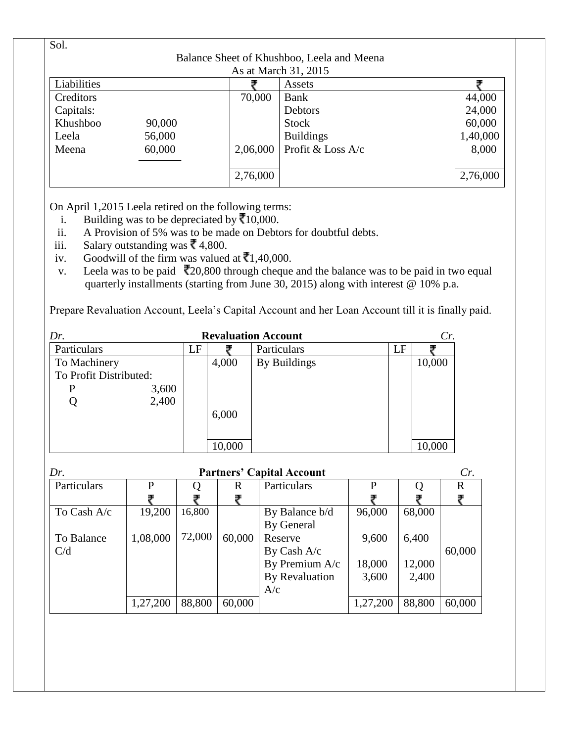| Sol.                 |        |          |                                            |          |  |  |  |  |
|----------------------|--------|----------|--------------------------------------------|----------|--|--|--|--|
|                      |        |          | Balance Sheet of Khushboo, Leela and Meena |          |  |  |  |  |
| As at March 31, 2015 |        |          |                                            |          |  |  |  |  |
| Liabilities          |        |          | Assets                                     |          |  |  |  |  |
| Creditors            |        | 70,000   | Bank                                       | 44,000   |  |  |  |  |
| Capitals:            |        |          | Debtors                                    | 24,000   |  |  |  |  |
| Khushboo             | 90,000 |          | <b>Stock</b>                               | 60,000   |  |  |  |  |
| Leela                | 56,000 |          | <b>Buildings</b>                           | 1,40,000 |  |  |  |  |
| Meena                | 60,000 | 2,06,000 | Profit & Loss A/c                          | 8,000    |  |  |  |  |
|                      |        |          |                                            |          |  |  |  |  |
|                      |        | 2,76,000 |                                            | 2,76,000 |  |  |  |  |

On April 1,2015 Leela retired on the following terms:

- i. Building was to be depreciated by  $\overline{\mathbf{\xi}}$  10,000.
- ii. A Provision of 5% was to be made on Debtors for doubtful debts.
- iii. Salary outstanding was  $\bar{\mathbf{\mathcal{R}}}$  4,800.
- iv. Goodwill of the firm was valued at  $\overline{\mathbf{C}}$ 1,40,000.
- v. Leela was to be paid  $\overline{2}20,800$  through cheque and the balance was to be paid in two equal quarterly installments (starting from June 30, 2015) along with interest @ 10% p.a.

Prepare Revaluation Account, Leela's Capital Account and her Loan Account till it is finally paid.

| <b>Revaluation Account</b><br>Dr. |    |        |              |    |        |  |  |
|-----------------------------------|----|--------|--------------|----|--------|--|--|
| Particulars                       | LF |        | Particulars  | LF |        |  |  |
| To Machinery                      |    | 4,000  | By Buildings |    | 10,000 |  |  |
| To Profit Distributed:            |    |        |              |    |        |  |  |
| 3,600<br>P                        |    |        |              |    |        |  |  |
| 2,400<br>Q                        |    |        |              |    |        |  |  |
|                                   |    | 6,000  |              |    |        |  |  |
|                                   |    |        |              |    |        |  |  |
|                                   |    | 10,000 |              |    | 10,000 |  |  |

| Dr.         | <b>Partners' Capital Account</b> |        |        |                |          |        |        |  |
|-------------|----------------------------------|--------|--------|----------------|----------|--------|--------|--|
| Particulars | P                                |        | R      | Particulars    | P        |        | R      |  |
|             |                                  |        |        |                |          |        |        |  |
| To Cash A/c | 19,200                           | 16,800 |        | By Balance b/d | 96,000   | 68,000 |        |  |
|             |                                  |        |        | By General     |          |        |        |  |
| To Balance  | 1,08,000                         | 72,000 | 60,000 | Reserve        | 9,600    | 6,400  |        |  |
| C/d         |                                  |        |        | By Cash A/c    |          |        | 60,000 |  |
|             |                                  |        |        | By Premium A/c | 18,000   | 12,000 |        |  |
|             |                                  |        |        | By Revaluation | 3,600    | 2,400  |        |  |
|             |                                  |        |        | A/c            |          |        |        |  |
|             | 1,27,200                         | 88,800 | 60,000 |                | 1,27,200 | 88,800 | 60,000 |  |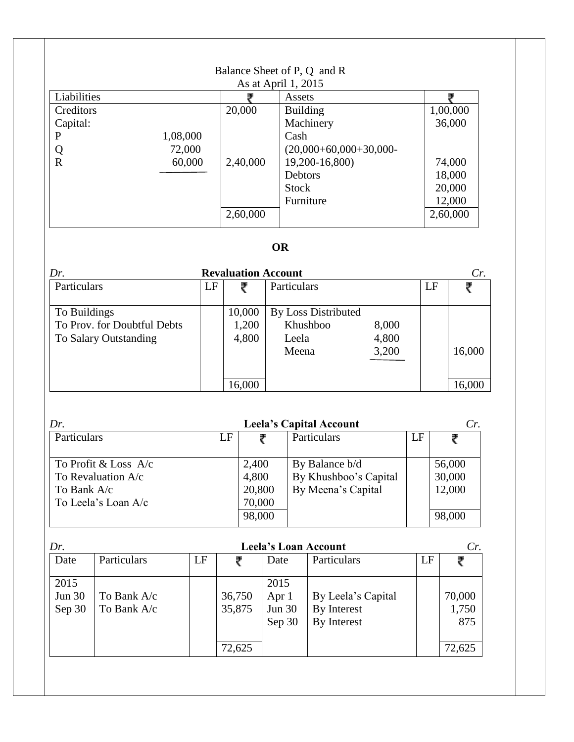|              |          |          | Balance Sheet of P, Q and R |          |
|--------------|----------|----------|-----------------------------|----------|
|              |          |          | As at April 1, 2015         |          |
| Liabilities  |          |          | Assets                      |          |
| Creditors    |          | 20,000   | <b>Building</b>             | 1,00,000 |
| Capital:     |          |          | Machinery                   | 36,000   |
| $\mathbf{P}$ | 1,08,000 |          | Cash                        |          |
| Q            | 72,000   |          | $(20,000+60,000+30,000-$    |          |
| $\mathbf R$  | 60,000   | 2,40,000 | 19,200-16,800)              | 74,000   |
|              |          |          | <b>Debtors</b>              | 18,000   |
|              |          |          | <b>Stock</b>                | 20,000   |
|              |          |          | Furniture                   | 12,000   |
|              |          | 2,60,000 |                             | 2,60,000 |

# **OR**

| Dr.                                                                  |    | <b>Revaluation Account</b> |                                                          |                         |    | Cr.              |
|----------------------------------------------------------------------|----|----------------------------|----------------------------------------------------------|-------------------------|----|------------------|
| Particulars                                                          | LF |                            | Particulars                                              |                         | LF |                  |
| To Buildings<br>To Prov. for Doubtful Debts<br>To Salary Outstanding |    | 10,000<br>1,200<br>4,800   | <b>By Loss Distributed</b><br>Khushboo<br>Leela<br>Meena | 8,000<br>4,800<br>3,200 |    | 16,000<br>16,000 |
|                                                                      |    | 16,000                     |                                                          |                         |    |                  |

| Dr.                                                                                  |    |                                              | <b>Leela's Capital Account</b>                                |    | Cr.                                  |
|--------------------------------------------------------------------------------------|----|----------------------------------------------|---------------------------------------------------------------|----|--------------------------------------|
| Particulars                                                                          | LF |                                              | Particulars                                                   | LF |                                      |
| To Profit & Loss $A/c$<br>To Revaluation $A/c$<br>To Bank A/c<br>To Leela's Loan A/c |    | 2,400<br>4,800<br>20,800<br>70,000<br>98,000 | By Balance b/d<br>By Khushboo's Capital<br>By Meena's Capital |    | 56,000<br>30,000<br>12,000<br>98,000 |

| Dr.                      | <b>Leela's Loan Account</b> |    |                  |                                          |                                                  |    |                        |
|--------------------------|-----------------------------|----|------------------|------------------------------------------|--------------------------------------------------|----|------------------------|
| Date                     | Particulars                 | LF |                  | Date                                     | Particulars                                      | LF |                        |
| 2015<br>Jun 30<br>Sep 30 | To Bank A/c<br>To Bank A/c  |    | 36,750<br>35,875 | 2015<br>Apr 1<br><b>Jun 30</b><br>Sep 30 | By Leela's Capital<br>By Interest<br>By Interest |    | 70,000<br>1,750<br>875 |
|                          |                             |    | 72,625           |                                          |                                                  |    | 72,625                 |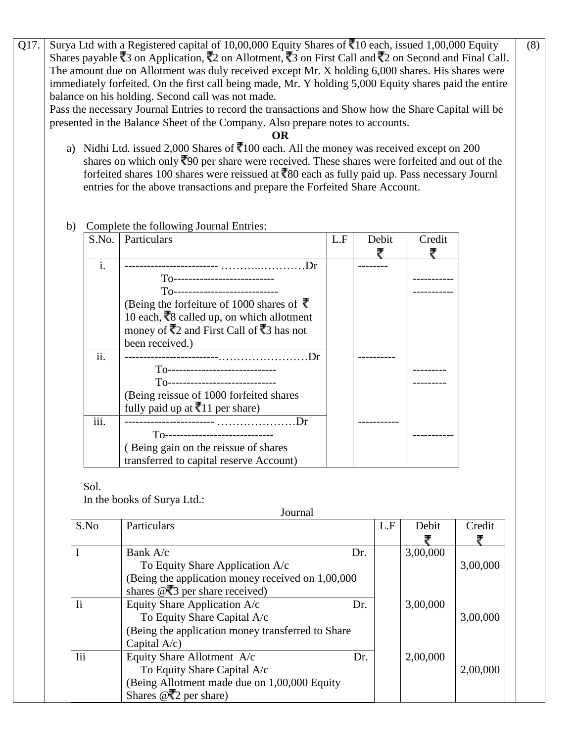Q17. Surya Ltd with a Registered capital of 10,00,000 Equity Shares of  $\overline{5}10$  each, issued 1,00,000 Equity Shares payable  $\overline{3}$  on Application,  $\overline{5}2$  on Allotment,  $\overline{5}3$  on First Call and  $\overline{5}2$  on Second and Final Call. The amount due on Allotment was duly received except Mr. X holding 6,000 shares. His shares were immediately forfeited. On the first call being made, Mr. Y holding 5,000 Equity shares paid the entire balance on his holding. Second call was not made.

Pass the necessary Journal Entries to record the transactions and Show how the Share Capital will be presented in the Balance Sheet of the Company. Also prepare notes to accounts.

## **OR**

a) Nidhi Ltd. issued 2,000 Shares of  $\overline{3}100$  each. All the money was received except on 200 shares on which only  $\sqrt[3]{2}90$  per share were received. These shares were forfeited and out of the forfeited shares 100 shares were reissued at  $\overline{80}$  each as fully paid up. Pass necessary Journl entries for the above transactions and prepare the Forfeited Share Account.

## b) Complete the following Journal Entries:

| S.No.          | Particulars                                                      | L.F | Debit | Credit |
|----------------|------------------------------------------------------------------|-----|-------|--------|
|                |                                                                  |     |       |        |
| $\mathbf{i}$ . | Dr                                                               |     |       |        |
|                | $T0$ -----------------------------                               |     |       |        |
|                | T0-----------------------------                                  |     |       |        |
|                | (Being the forfeiture of 1000 shares of ₹                        |     |       |        |
|                | 10 each, ₹8 called up, on which allotment                        |     |       |        |
|                | money of $\overline{3}$ and First Call of $\overline{3}$ has not |     |       |        |
|                | been received.)                                                  |     |       |        |
| ii.            | Dr                                                               |     |       |        |
|                | T0------------------------------                                 |     |       |        |
|                | To-----------------------------                                  |     |       |        |
|                | (Being reissue of 1000 forfeited shares)                         |     |       |        |
|                | fully paid up at $\bar{z}$ 11 per share)                         |     |       |        |
| iii.           | $1$ r                                                            |     |       |        |
|                | T0-------------------------------                                |     |       |        |
|                | (Being gain on the reissue of shares                             |     |       |        |
|                | transferred to capital reserve Account)                          |     |       |        |

## Sol.

In the books of Surya Ltd.:

To Equity Share Capital A/c

Shares  $@\bar{z}2$  per share)

(Being Allotment made due on 1,00,000 Equity

Journal S.No Particulars L.F Debit Credit I Bank  $A/c$  Dr. To Equity Share Application A/c (Being the application money received on 1,00,000 shares  $@$ ,  $@$  per share received) 3,00,000 Ii Equity Share Application A/c Dr. To Equity Share Capital A/c (Being the application money transferred to Share Capital A/c) 3,00,000 Iii Equity Share Allotment A/c Dr. 2,00,000

(8)

3,00,000

₹

3,00,000

2,00,000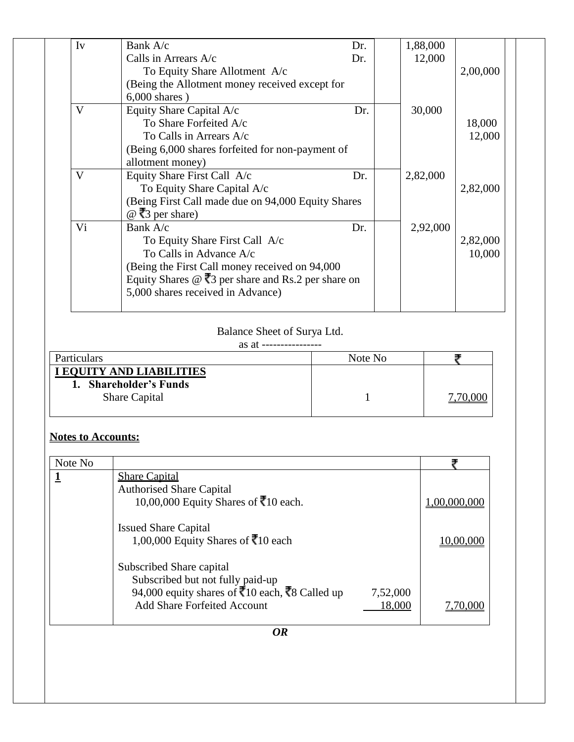| Iv | Bank A/c                                                                             | Dr. | 1,88,000 |          |
|----|--------------------------------------------------------------------------------------|-----|----------|----------|
|    | Calls in Arrears $A/c$                                                               | Dr. | 12,000   |          |
|    | To Equity Share Allotment A/c                                                        |     |          | 2,00,000 |
|    | (Being the Allotment money received except for                                       |     |          |          |
|    | $6,000$ shares)                                                                      |     |          |          |
| V  | Equity Share Capital A/c                                                             | Dr. | 30,000   |          |
|    | To Share Forfeited A/c                                                               |     |          | 18,000   |
|    | To Calls in Arrears A/c                                                              |     |          | 12,000   |
|    | (Being 6,000 shares forfeited for non-payment of                                     |     |          |          |
|    | allotment money)                                                                     |     |          |          |
| V  | Equity Share First Call A/c                                                          | Dr. | 2,82,000 |          |
|    | To Equity Share Capital A/c                                                          |     |          | 2,82,000 |
|    | (Being First Call made due on 94,000 Equity Shares)                                  |     |          |          |
|    | $@$ ₹3 per share)                                                                    |     |          |          |
| Vi | Bank A/c                                                                             | Dr. | 2,92,000 |          |
|    | To Equity Share First Call A/c                                                       |     |          | 2,82,000 |
|    | To Calls in Advance A/c                                                              |     |          | 10,000   |
|    | (Being the First Call money received on 94,000)                                      |     |          |          |
|    | Equity Shares $\circledcirc$ $\overline{\mathbf{3}}$ per share and Rs.2 per share on |     |          |          |
|    | 5,000 shares received in Advance)                                                    |     |          |          |
|    |                                                                                      |     |          |          |

Balance Sheet of Surya Ltd.

| as at<br>----------------<br>ai |  |
|---------------------------------|--|
|                                 |  |

| Particulars                                                                | Note No |  |
|----------------------------------------------------------------------------|---------|--|
| I EQUITY AND LIABILITIES<br>1. Shareholder's Funds<br><b>Share Capital</b> |         |  |

# **Notes to Accounts:**

| Note No |                                                                          |          |              |
|---------|--------------------------------------------------------------------------|----------|--------------|
|         | <b>Share Capital</b>                                                     |          |              |
|         | <b>Authorised Share Capital</b>                                          |          |              |
|         | 10,00,000 Equity Shares of $\bar{3}10$ each.                             |          | 1,00,000,000 |
|         | <b>Issued Share Capital</b>                                              |          |              |
|         | 1,00,000 Equity Shares of ₹10 each                                       |          | 10,00,000    |
|         | Subscribed Share capital                                                 |          |              |
|         | Subscribed but not fully paid-up                                         |          |              |
|         | 94,000 equity shares of $\overline{3}10$ each, $\overline{3}8$ Called up | 7,52,000 |              |
|         | <b>Add Share Forfeited Account</b>                                       | 18,000   | 7,70,000     |
|         | <b>OR</b>                                                                |          |              |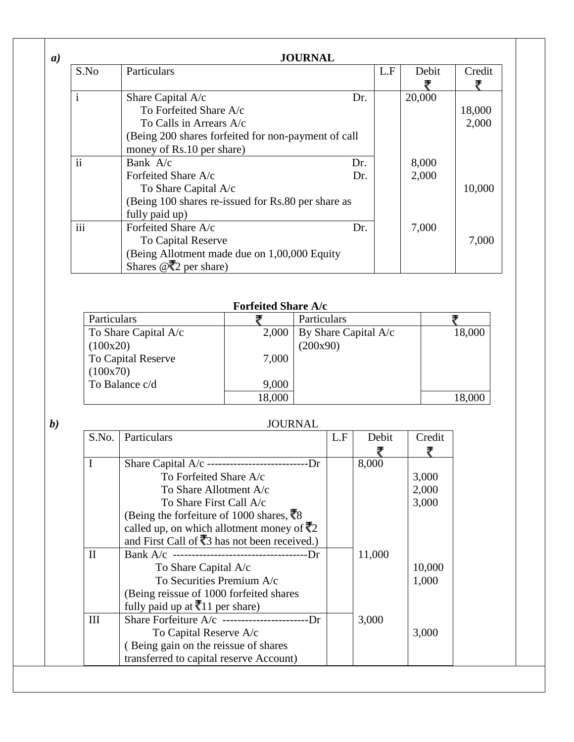|                     | <b>JOURNAL</b>                                      |     |     |        |        |
|---------------------|-----------------------------------------------------|-----|-----|--------|--------|
| S.No                | Particulars                                         |     | L.F | Debit  | Credit |
|                     |                                                     |     |     |        |        |
| $\mathbf{i}$        | Share Capital A/c                                   | Dr. |     | 20,000 |        |
|                     | To Forfeited Share A/c                              |     |     |        | 18,000 |
|                     | To Calls in Arrears $A/c$                           |     |     |        | 2,000  |
|                     | (Being 200 shares forfeited for non-payment of call |     |     |        |        |
|                     | money of Rs.10 per share)                           |     |     |        |        |
| $\ddot{\mathbf{i}}$ | Bank $A/c$                                          | Dr. |     | 8,000  |        |
|                     | Forfeited Share A/c                                 | Dr. |     | 2,000  |        |
|                     | To Share Capital A/c                                |     |     |        | 10,000 |
|                     | (Being 100 shares re-issued for Rs.80 per share as  |     |     |        |        |
|                     | fully paid up)                                      |     |     |        |        |
| $\cdots$<br>111     | Forfeited Share A/c                                 | Dr. |     | 7,000  |        |
|                     | To Capital Reserve                                  |     |     |        | 7,000  |
|                     | (Being Allotment made due on 1,00,000 Equity        |     |     |        |        |
|                     | Shares $@\bar{{}z}2$ per share)                     |     |     |        |        |

## **Forfeited Share A/c**

| Particulars          |       | Particulars                  |        |
|----------------------|-------|------------------------------|--------|
| To Share Capital A/c | 2,000 | $\vert$ By Share Capital A/c | 18,000 |
| (100x20)             |       | (200x90)                     |        |
| To Capital Reserve   | 7,000 |                              |        |
| (100x70)             |       |                              |        |
| To Balance c/d       | 9,000 |                              |        |
|                      | 8,000 |                              |        |

# *b)* JOURNAL

| S.No.        | Particulars                                                     | L.F | Debit  | Credit |
|--------------|-----------------------------------------------------------------|-----|--------|--------|
|              |                                                                 |     |        |        |
| I            | Share Capital A/c --------------------------Dr                  |     | 8,000  |        |
|              | To Forfeited Share A/c                                          |     |        | 3,000  |
|              | To Share Allotment A/c                                          |     |        | 2,000  |
|              | To Share First Call A/c                                         |     |        | 3,000  |
|              | (Being the forfeiture of 1000 shares, $\overline{\mathbf{x}}$ 8 |     |        |        |
|              | called up, on which allotment money of $\bar{z}$ 2              |     |        |        |
|              | and First Call of $\overline{3}$ has not been received.)        |     |        |        |
| $\mathbf{I}$ | Bank A/c ----------------------------------Dr                   |     | 11,000 |        |
|              | To Share Capital A/c                                            |     |        | 10,000 |
|              | To Securities Premium A/c                                       |     |        | 1,000  |
|              | (Being reissue of 1000 forfeited shares)                        |     |        |        |
|              | fully paid up at $\bar{z}$ 11 per share)                        |     |        |        |
| III          | Share Forfeiture $A/c$ ------------------------Dr               |     | 3,000  |        |
|              | To Capital Reserve A/c                                          |     |        | 3,000  |
|              | (Being gain on the reissue of shares                            |     |        |        |
|              | transferred to capital reserve Account)                         |     |        |        |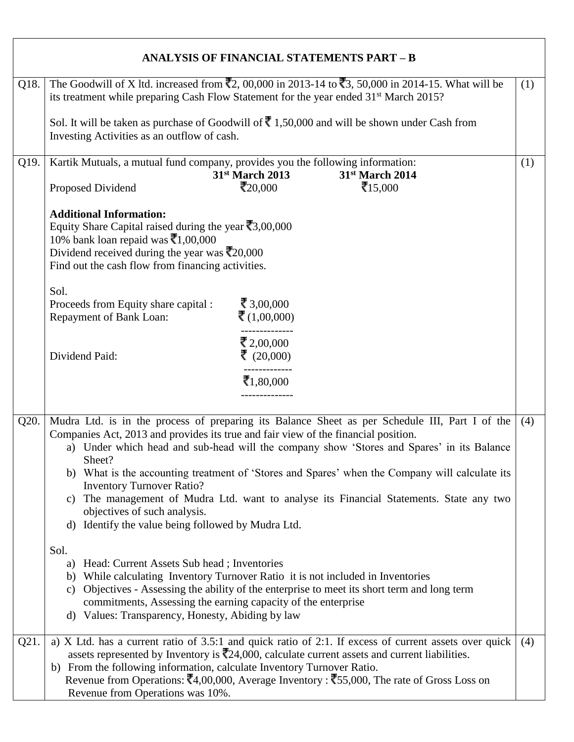|      | <b>ANALYSIS OF FINANCIAL STATEMENTS PART - B</b>                                                                                                                                                                                                                                                                                                                                                                                                                                                                                                                                                                                                                                                                                                                                                                                                                                                                                                                                                |     |
|------|-------------------------------------------------------------------------------------------------------------------------------------------------------------------------------------------------------------------------------------------------------------------------------------------------------------------------------------------------------------------------------------------------------------------------------------------------------------------------------------------------------------------------------------------------------------------------------------------------------------------------------------------------------------------------------------------------------------------------------------------------------------------------------------------------------------------------------------------------------------------------------------------------------------------------------------------------------------------------------------------------|-----|
| Q18. | The Goodwill of X ltd. increased from $\overline{2}2,00,000$ in 2013-14 to $\overline{3}3,50,000$ in 2014-15. What will be<br>its treatment while preparing Cash Flow Statement for the year ended 31 <sup>st</sup> March 2015?<br>Sol. It will be taken as purchase of Goodwill of $\bar{\mathbf{\nabla}}$ 1,50,000 and will be shown under Cash from<br>Investing Activities as an outflow of cash.                                                                                                                                                                                                                                                                                                                                                                                                                                                                                                                                                                                           | (1) |
| Q19. | Kartik Mutuals, a mutual fund company, provides you the following information:<br>31st March 2013<br>31st March 2014<br>₹20,000<br>₹15,000<br>Proposed Dividend<br><b>Additional Information:</b><br>Equity Share Capital raised during the year $\bar{x}$ 3,00,000<br>10% bank loan repaid was $\bar{\mathbf{z}}$ 1,00,000<br>Dividend received during the year was $\bar{\mathbf{z}}_{20,000}$<br>Find out the cash flow from financing activities.<br>Sol.<br>₹ 3,00,000<br>Proceeds from Equity share capital :<br>₹ $(1,00,000)$<br>Repayment of Bank Loan:<br>₹ 2,00,000<br>₹ $(20,000)$<br>Dividend Paid:<br>₹1,80,000                                                                                                                                                                                                                                                                                                                                                                   | (1) |
| Q20. | Mudra Ltd. is in the process of preparing its Balance Sheet as per Schedule III, Part I of the<br>Companies Act, 2013 and provides its true and fair view of the financial position.<br>a) Under which head and sub-head will the company show 'Stores and Spares' in its Balance<br>Sheet?<br>b) What is the accounting treatment of 'Stores and Spares' when the Company will calculate its<br><b>Inventory Turnover Ratio?</b><br>The management of Mudra Ltd. want to analyse its Financial Statements. State any two<br>C)<br>objectives of such analysis.<br>Identify the value being followed by Mudra Ltd.<br>d)<br>Sol.<br>Head: Current Assets Sub head; Inventories<br>a)<br>b) While calculating Inventory Turnover Ratio it is not included in Inventories<br>Objectives - Assessing the ability of the enterprise to meet its short term and long term<br>C)<br>commitments, Assessing the earning capacity of the enterprise<br>d) Values: Transparency, Honesty, Abiding by law | (4) |
| Q21. | a) X Ltd. has a current ratio of 3.5:1 and quick ratio of 2:1. If excess of current assets over quick<br>assets represented by Inventory is $\overline{\mathbb{Z}}$ 24,000, calculate current assets and current liabilities.<br>b) From the following information, calculate Inventory Turnover Ratio.<br>Revenue from Operations: $\bar{(-, 4, 00, 000)}$ , Average Inventory: $\bar{(-, 5, 000)}$ , The rate of Gross Loss on<br>Revenue from Operations was 10%.                                                                                                                                                                                                                                                                                                                                                                                                                                                                                                                            | (4) |

┑

 $\Gamma$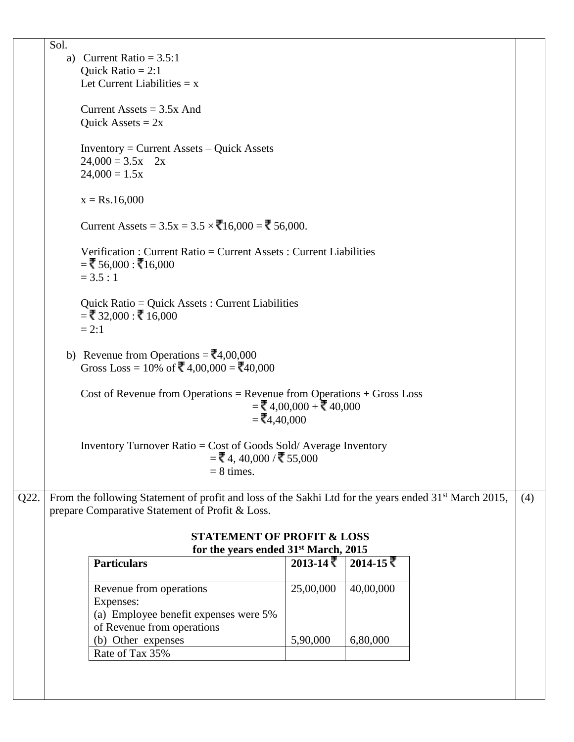|      | Sol. |                                                                                                                   |                            |           |     |
|------|------|-------------------------------------------------------------------------------------------------------------------|----------------------------|-----------|-----|
|      |      | a) Current Ratio = $3.5:1$                                                                                        |                            |           |     |
|      |      | Quick Ratio = $2:1$                                                                                               |                            |           |     |
|      |      | Let Current Liabilities $= x$                                                                                     |                            |           |     |
|      |      | Current Assets = $3.5x$ And                                                                                       |                            |           |     |
|      |      |                                                                                                                   |                            |           |     |
|      |      | Quick Assets = $2x$                                                                                               |                            |           |     |
|      |      | $Inventory = Current Assets - Quick Assets$                                                                       |                            |           |     |
|      |      | $24,000 = 3.5x - 2x$                                                                                              |                            |           |     |
|      |      | $24,000 = 1.5x$                                                                                                   |                            |           |     |
|      |      |                                                                                                                   |                            |           |     |
|      |      | $x = Rs.16,000$                                                                                                   |                            |           |     |
|      |      |                                                                                                                   |                            |           |     |
|      |      | Current Assets = $3.5x = 3.5 \times \sqrt{16,000} = \sqrt{5,000}$ .                                               |                            |           |     |
|      |      |                                                                                                                   |                            |           |     |
|      |      | Verification: Current Ratio = Current Assets: Current Liabilities<br>$=\xi$ 56,000 : ₹16,000                      |                            |           |     |
|      |      | $= 3.5 : 1$                                                                                                       |                            |           |     |
|      |      |                                                                                                                   |                            |           |     |
|      |      | Quick Ratio = Quick Assets : Current Liabilities                                                                  |                            |           |     |
|      |      | $=$ ₹32,000 : ₹16,000                                                                                             |                            |           |     |
|      |      | $= 2:1$                                                                                                           |                            |           |     |
|      |      |                                                                                                                   |                            |           |     |
|      |      | b) Revenue from Operations = $\overline{\mathbf{z}}$ 4,00,000                                                     |                            |           |     |
|      |      | Gross Loss = 10% of $\bar{5}$ 4,00,000 = $\bar{5}$ 40,000                                                         |                            |           |     |
|      |      |                                                                                                                   |                            |           |     |
|      |      | Cost of Revenue from Operations = Revenue from Operations $+$ Gross Loss                                          |                            |           |     |
|      |      |                                                                                                                   | $=\xi$ 4,00,000 + ₹ 40,000 |           |     |
|      |      | $=\xi$ 4,40,000                                                                                                   |                            |           |     |
|      |      |                                                                                                                   |                            |           |     |
|      |      | Inventory Turnover Ratio = Cost of Goods Sold/Average Inventory                                                   |                            |           |     |
|      |      | $=$ ₹4, 40,000 / ₹55,000                                                                                          |                            |           |     |
|      |      | $= 8$ times.                                                                                                      |                            |           |     |
|      |      |                                                                                                                   |                            |           |     |
| Q22. |      | From the following Statement of profit and loss of the Sakhi Ltd for the years ended 31 <sup>st</sup> March 2015, |                            |           | (4) |
|      |      | prepare Comparative Statement of Profit & Loss.                                                                   |                            |           |     |
|      |      |                                                                                                                   |                            |           |     |
|      |      | <b>STATEMENT OF PROFIT &amp; LOSS</b>                                                                             |                            |           |     |
|      |      | for the years ended 31 <sup>st</sup> March, 2015                                                                  |                            |           |     |
|      |      | <b>Particulars</b>                                                                                                | $2013 - 14$ ₹              | 2014-15 ₹ |     |
|      |      |                                                                                                                   | 25,00,000                  | 40,00,000 |     |
|      |      | Revenue from operations                                                                                           |                            |           |     |
|      |      | Expenses:<br>(a) Employee benefit expenses were 5%                                                                |                            |           |     |
|      |      | of Revenue from operations                                                                                        |                            |           |     |
|      |      | (b) Other expenses                                                                                                | 5,90,000                   | 6,80,000  |     |
|      |      | Rate of Tax 35%                                                                                                   |                            |           |     |
|      |      |                                                                                                                   |                            |           |     |
|      |      |                                                                                                                   |                            |           |     |
|      |      |                                                                                                                   |                            |           |     |
|      |      |                                                                                                                   |                            |           |     |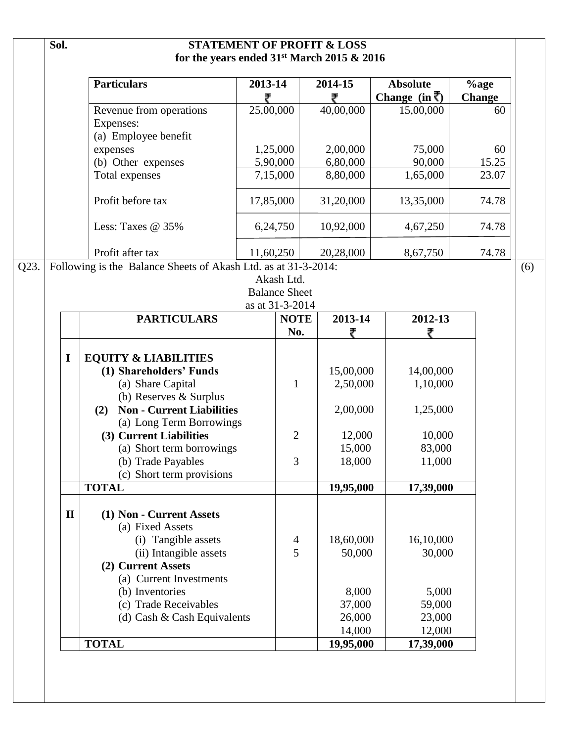|      | Sol. |              |                                                                |           |                      | <b>STATEMENT OF PROFIT &amp; LOSS</b><br>for the years ended 31 <sup>st</sup> March 2015 & 2016 |                           |               |  |  |
|------|------|--------------|----------------------------------------------------------------|-----------|----------------------|-------------------------------------------------------------------------------------------------|---------------------------|---------------|--|--|
|      |      |              | <b>Particulars</b>                                             | 2013-14   |                      | 2014-15                                                                                         | <b>Absolute</b>           | $\%$ age      |  |  |
|      |      |              |                                                                | ₹         |                      | ₹                                                                                               | Change $(in \bar{\zeta})$ | <b>Change</b> |  |  |
|      |      |              | Revenue from operations                                        | 25,00,000 |                      | 40,00,000                                                                                       | 15,00,000                 | 60            |  |  |
|      |      |              | Expenses:                                                      |           |                      |                                                                                                 |                           |               |  |  |
|      |      |              | (a) Employee benefit                                           |           |                      |                                                                                                 |                           |               |  |  |
|      |      |              | expenses                                                       |           | 1,25,000             | 2,00,000                                                                                        | 75,000                    | 60            |  |  |
|      |      |              | (b) Other expenses                                             |           | 5,90,000             | 6,80,000                                                                                        | 90,000                    | 15.25         |  |  |
|      |      |              | Total expenses                                                 |           | 7,15,000             | 8,80,000                                                                                        | 1,65,000                  | 23.07         |  |  |
|      |      |              | Profit before tax                                              | 17,85,000 |                      | 31,20,000                                                                                       | 13,35,000                 | 74.78         |  |  |
|      |      |              | Less: Taxes $@35\%$                                            |           | 6,24,750             | 10,92,000                                                                                       | 4,67,250                  | 74.78         |  |  |
|      |      |              | Profit after tax                                               | 11,60,250 |                      | 20,28,000                                                                                       | 8,67,750                  | 74.78         |  |  |
| Q23. |      |              | Following is the Balance Sheets of Akash Ltd. as at 31-3-2014: |           |                      |                                                                                                 |                           |               |  |  |
|      |      |              |                                                                |           | Akash Ltd.           |                                                                                                 |                           |               |  |  |
|      |      |              |                                                                |           | <b>Balance Sheet</b> |                                                                                                 |                           |               |  |  |
|      |      |              |                                                                |           | as at 31-3-2014      |                                                                                                 |                           |               |  |  |
|      |      |              | <b>PARTICULARS</b>                                             |           | <b>NOTE</b>          | 2013-14                                                                                         | 2012-13                   |               |  |  |
|      |      |              |                                                                |           | No.                  |                                                                                                 |                           |               |  |  |
|      |      | I            | <b>EQUITY &amp; LIABILITIES</b>                                |           |                      |                                                                                                 |                           |               |  |  |
|      |      |              | (1) Shareholders' Funds                                        |           |                      | 15,00,000                                                                                       | 14,00,000                 |               |  |  |
|      |      |              | (a) Share Capital                                              |           | $\mathbf{1}$         | 2,50,000                                                                                        | 1,10,000                  |               |  |  |
|      |      |              | (b) Reserves & Surplus                                         |           |                      |                                                                                                 |                           |               |  |  |
|      |      |              | <b>Non - Current Liabilities</b><br>(2)                        |           |                      | 2,00,000                                                                                        | 1,25,000                  |               |  |  |
|      |      |              | (a) Long Term Borrowings                                       |           |                      |                                                                                                 |                           |               |  |  |
|      |      |              | (3) Current Liabilities                                        |           | $\overline{2}$       | 12,000                                                                                          | 10,000                    |               |  |  |
|      |      |              | (a) Short term borrowings                                      |           |                      | 15,000                                                                                          | 83,000                    |               |  |  |
|      |      |              | (b) Trade Payables                                             |           | 3                    | 18,000                                                                                          | 11,000                    |               |  |  |
|      |      |              | (c) Short term provisions                                      |           |                      |                                                                                                 |                           |               |  |  |
|      |      |              | <b>TOTAL</b>                                                   |           |                      | 19,95,000                                                                                       | 17,39,000                 |               |  |  |
|      |      |              |                                                                |           |                      |                                                                                                 |                           |               |  |  |
|      |      | $\mathbf{I}$ | (1) Non - Current Assets                                       |           |                      |                                                                                                 |                           |               |  |  |
|      |      |              | (a) Fixed Assets                                               |           |                      |                                                                                                 |                           |               |  |  |
|      |      |              | (i) Tangible assets                                            |           | $\overline{4}$       | 18,60,000                                                                                       | 16,10,000                 |               |  |  |
|      |      |              | (ii) Intangible assets                                         |           | 5                    | 50,000                                                                                          | 30,000                    |               |  |  |
|      |      |              | (2) Current Assets                                             |           |                      |                                                                                                 |                           |               |  |  |
|      |      |              | (a) Current Investments                                        |           |                      |                                                                                                 |                           |               |  |  |
|      |      |              | (b) Inventories                                                |           |                      | 8,000                                                                                           | 5,000                     |               |  |  |
|      |      |              | (c) Trade Receivables                                          |           |                      | 37,000                                                                                          | 59,000                    |               |  |  |
|      |      |              | (d) Cash & Cash Equivalents                                    |           |                      | 26,000                                                                                          | 23,000                    |               |  |  |
|      |      |              |                                                                |           |                      | 14,000                                                                                          | 12,000                    |               |  |  |
|      |      |              | <b>TOTAL</b>                                                   |           |                      | 19,95,000                                                                                       | 17,39,000                 |               |  |  |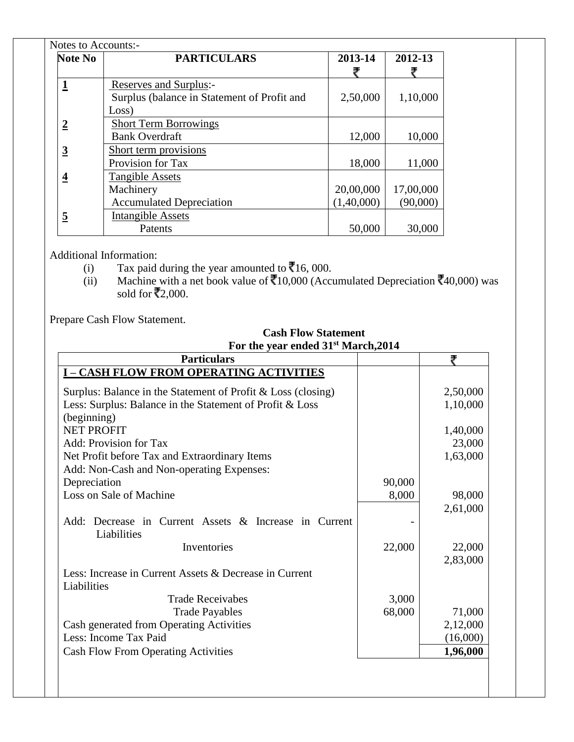| Notes to Accounts:- |                                             |            |           |  |  |  |  |
|---------------------|---------------------------------------------|------------|-----------|--|--|--|--|
| <b>Note No</b>      | <b>PARTICULARS</b>                          | 2013-14    | 2012-13   |  |  |  |  |
|                     |                                             |            |           |  |  |  |  |
|                     | Reserves and Surplus:-                      |            |           |  |  |  |  |
|                     | Surplus (balance in Statement of Profit and | 2,50,000   | 1,10,000  |  |  |  |  |
|                     | Loss)                                       |            |           |  |  |  |  |
|                     | <b>Short Term Borrowings</b>                |            |           |  |  |  |  |
|                     | <b>Bank Overdraft</b>                       | 12,000     | 10,000    |  |  |  |  |
| 3                   | Short term provisions                       |            |           |  |  |  |  |
|                     | Provision for Tax                           | 18,000     | 11,000    |  |  |  |  |
| 4                   | <b>Tangible Assets</b>                      |            |           |  |  |  |  |
|                     | Machinery                                   | 20,00,000  | 17,00,000 |  |  |  |  |
|                     | <b>Accumulated Depreciation</b>             | (1,40,000) | (90,000)  |  |  |  |  |
| 5                   | <b>Intangible Assets</b>                    |            |           |  |  |  |  |
|                     | Patents                                     | 50,000     | 30,000    |  |  |  |  |

Additional Information:

- (i) Tax paid during the year amounted to  $\bar{C}16$ , 000.
- (ii) Machine with a net book value of  $\bar{x}$ 10,000 (Accumulated Depreciation  $\bar{x}$ 40,000) was sold for ₹2,000.

Prepare Cash Flow Statement.

| <b>Cash Flow Statement</b><br>For the year ended 31 <sup>st</sup> March, 2014 |        |          |  |  |
|-------------------------------------------------------------------------------|--------|----------|--|--|
| <b>Particulars</b>                                                            |        | ₹        |  |  |
| <b>I-CASH FLOW FROM OPERATING ACTIVITIES</b>                                  |        |          |  |  |
| Surplus: Balance in the Statement of Profit & Loss (closing)                  |        | 2,50,000 |  |  |
| Less: Surplus: Balance in the Statement of Profit & Loss                      |        | 1,10,000 |  |  |
| (beginning)                                                                   |        |          |  |  |
| <b>NET PROFIT</b>                                                             |        | 1,40,000 |  |  |
| <b>Add: Provision for Tax</b>                                                 |        | 23,000   |  |  |
| Net Profit before Tax and Extraordinary Items                                 |        | 1,63,000 |  |  |
| Add: Non-Cash and Non-operating Expenses:                                     |        |          |  |  |
| Depreciation                                                                  | 90,000 |          |  |  |
| Loss on Sale of Machine                                                       | 8,000  | 98,000   |  |  |
|                                                                               |        | 2,61,000 |  |  |
| Add: Decrease in Current Assets & Increase in Current<br>Liabilities          |        |          |  |  |
| Inventories                                                                   | 22,000 | 22,000   |  |  |
|                                                                               |        | 2,83,000 |  |  |
| Less: Increase in Current Assets & Decrease in Current<br>Liabilities         |        |          |  |  |
| <b>Trade Receivabes</b>                                                       | 3,000  |          |  |  |
| <b>Trade Payables</b>                                                         | 68,000 | 71,000   |  |  |
| Cash generated from Operating Activities                                      |        | 2,12,000 |  |  |
| Less: Income Tax Paid                                                         |        | (16,000) |  |  |
| <b>Cash Flow From Operating Activities</b>                                    |        | 1,96,000 |  |  |
|                                                                               |        |          |  |  |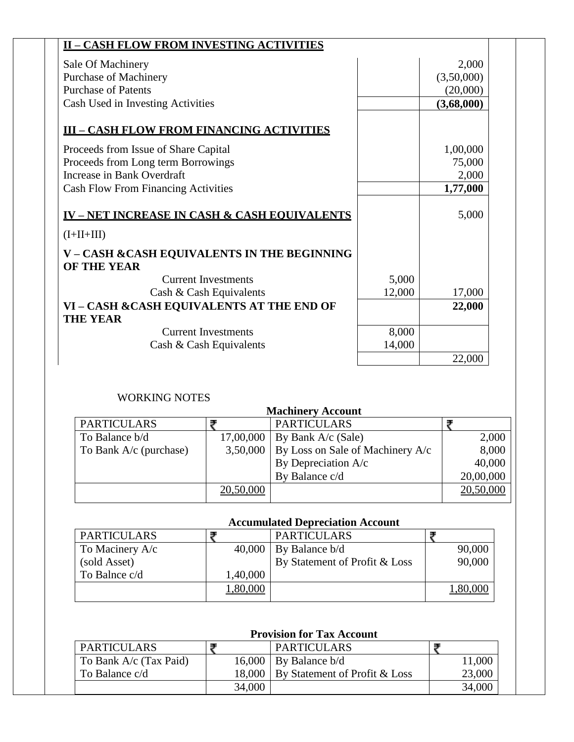| <b>II-CASH FLOW FROM INVESTING ACTIVITIES</b>                      |        |            |  |
|--------------------------------------------------------------------|--------|------------|--|
| Sale Of Machinery                                                  |        | 2,000      |  |
| Purchase of Machinery                                              |        | (3,50,000) |  |
| <b>Purchase of Patents</b>                                         |        | (20,000)   |  |
| Cash Used in Investing Activities                                  |        | (3,68,000) |  |
| <b>III - CASH FLOW FROM FINANCING ACTIVITIES</b>                   |        |            |  |
| Proceeds from Issue of Share Capital                               |        | 1,00,000   |  |
| Proceeds from Long term Borrowings                                 |        | 75,000     |  |
| Increase in Bank Overdraft                                         |        | 2,000      |  |
| <b>Cash Flow From Financing Activities</b>                         |        | 1,77,000   |  |
| <b>IV-NET INCREASE IN CASH &amp; CASH EQUIVALENTS</b>              |        | 5,000      |  |
| $(I+II+III)$                                                       |        |            |  |
| V - CASH & CASH EQUIVALENTS IN THE BEGINNING<br><b>OF THE YEAR</b> |        |            |  |
| <b>Current Investments</b>                                         | 5,000  |            |  |
| Cash & Cash Equivalents                                            | 12,000 | 17,000     |  |
| VI - CASH & CASH EQUIVALENTS AT THE END OF                         |        | 22,000     |  |
| <b>THE YEAR</b>                                                    |        |            |  |
| <b>Current Investments</b>                                         | 8,000  |            |  |
| Cash & Cash Equivalents                                            | 14,000 |            |  |
|                                                                    |        | 22,000     |  |

## WORKING NOTES

|                        |           | <b>Machinery Account</b>                      |           |
|------------------------|-----------|-----------------------------------------------|-----------|
| <b>PARTICULARS</b>     |           | <b>PARTICULARS</b>                            |           |
| To Balance b/d         |           | 17,00,000   By Bank A/c (Sale)                | 2,000     |
| To Bank A/c (purchase) |           | 3,50,000   By Loss on Sale of Machinery $A/c$ | 8,000     |
|                        |           | By Depreciation A/c                           | 40,000    |
|                        |           | By Balance c/d                                | 20,00,000 |
|                        | 20,50,000 |                                               | 20,50,000 |

# **Accumulated Depreciation Account**

| <b>PARTICULARS</b> |          | <b>PARTICULARS</b>            |        |
|--------------------|----------|-------------------------------|--------|
| To Macinery A/c    | 40,000   | By Balance b/d                | 90,000 |
| (sold Asset)       |          | By Statement of Profit & Loss | 90,000 |
| To Balnce c/d      | 1,40,000 |                               |        |
|                    |          |                               |        |

## **Provision for Tax Account**

| <b>PARTICULARS</b>     |        | <b>PARTICULARS</b>                     |        |
|------------------------|--------|----------------------------------------|--------|
| To Bank A/c (Tax Paid) |        | $16,000$ By Balance b/d                | 11,000 |
| To Balance c/d         |        | 18,000   By Statement of Profit & Loss | 23,000 |
|                        | 34,000 |                                        | 34,000 |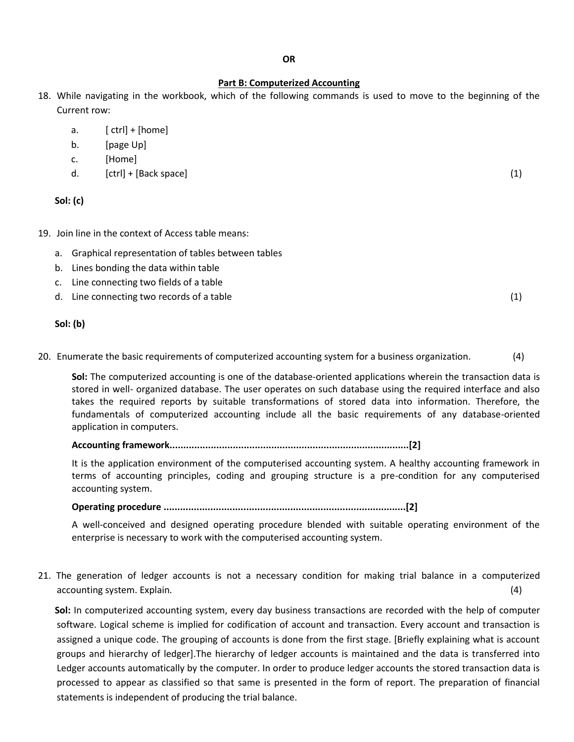#### **Part B: Computerized Accounting**

- 18. While navigating in the workbook, which of the following commands is used to move to the beginning of the Current row:
	- a.  $[ \text{ctrl}] + [ \text{home} ]$
	- b. [page Up]
	- c. [Home]
	- d. [ctrl] + [Back space] (1)

**Sol: (c)**

- 19. Join line in the context of Access table means:
	- a. Graphical representation of tables between tables
	- b. Lines bonding the data within table
	- c. Line connecting two fields of a table
	- d. Line connecting two records of a table (1)

## **Sol: (b)**

20. Enumerate the basic requirements of computerized accounting system for a business organization. (4)

**Sol:** The computerized accounting is one of the database-oriented applications wherein the transaction data is stored in well- organized database. The user operates on such database using the required interface and also takes the required reports by suitable transformations of stored data into information. Therefore, the fundamentals of computerized accounting include all the basic requirements of any database-oriented application in computers.

## **Accounting framework.......................................................................................[2]**

It is the application environment of the computerised accounting system. A healthy accounting framework in terms of accounting principles, coding and grouping structure is a pre-condition for any computerised accounting system.

**Operating procedure ........................................................................................[2]**

A well-conceived and designed operating procedure blended with suitable operating environment of the enterprise is necessary to work with the computerised accounting system.

21. The generation of ledger accounts is not a necessary condition for making trial balance in a computerized accounting system. Explain. (4)

**Sol:** In computerized accounting system, every day business transactions are recorded with the help of computer software. Logical scheme is implied for codification of account and transaction. Every account and transaction is assigned a unique code. The grouping of accounts is done from the first stage. [Briefly explaining what is account groups and hierarchy of ledger].The hierarchy of ledger accounts is maintained and the data is transferred into Ledger accounts automatically by the computer. In order to produce ledger accounts the stored transaction data is processed to appear as classified so that same is presented in the form of report. The preparation of financial statements is independent of producing the trial balance.